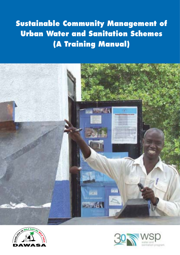**Sustainable Community Management of Urban Water and Sanitation Schemes (A Training Manual)** 





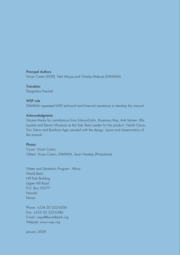#### Principal Authors

Vivian Castro (WSP), Neli Msuya and Charles Makoye (DAWASA)

#### **Translator**

Deogratius Paschal

#### WSP role

DAWASA requested WSP technical and financial assistance to develop this manual.

#### Acknowledgments

Sincere thanks for contributions from Edmund John, Rosemary Rop, Antti Inkinen, Ella Lazarte and Dennis Mwanza as the Task Team Leader for this product. Norah Osoro, Toni Sittoni and Boniface Ager assisted with the design, layout and dissemination of the manual.

#### Photos

Cover: Vivian Castro Others: Vivian Castro, DAWASA, Sean Hawkey (Photoshare)

Water and Sanitation Program - Africa World Bank Hill Park Building Upper Hill Road P.O. Box 30577 Nairobi Kenya

Phone: +254 20 322-6306 Fax: +254 20 322-6386 E-mail: wspaf@worldbank.org Website: www.wsp.org

January 2009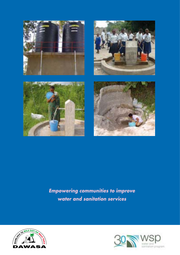

*Empowering communities to improve water and sanitation services*



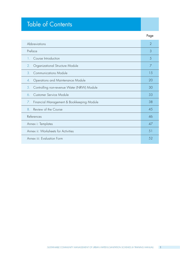# Table of Contents

Page

| Abbreviations                                           |    |  |  |  |  |  |
|---------------------------------------------------------|----|--|--|--|--|--|
| Preface                                                 | 3  |  |  |  |  |  |
| Course Introduction<br>1.                               |    |  |  |  |  |  |
| Organizational Structure Module<br>2.                   | 7  |  |  |  |  |  |
| <b>Communications Module</b><br>3.                      |    |  |  |  |  |  |
| Operations and Maintenance Module<br>4.                 |    |  |  |  |  |  |
| Controlling non-revenue Water (NRW) Module<br>5.        |    |  |  |  |  |  |
| Customer Service Module<br>6                            |    |  |  |  |  |  |
| Financial Management & Bookkeeping Module<br>$\angle$ . | 38 |  |  |  |  |  |
| Review of the Course<br>8                               | 45 |  |  |  |  |  |
| References                                              |    |  |  |  |  |  |
| Annex i: Templates                                      |    |  |  |  |  |  |
| Annex ii: Worksheets for Activities                     |    |  |  |  |  |  |
| Annex iii: Evaluation Form                              |    |  |  |  |  |  |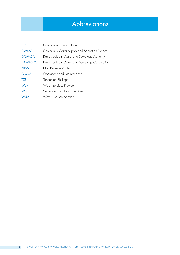# Abbreviations

| <b>CLO</b>       | Community Liaison Office                      |
|------------------|-----------------------------------------------|
| <b>CWSSP</b>     | Community Water Supply and Sanitation Project |
| <b>DAWASA</b>    | Dar es Salaam Water and Sewerage Authority    |
| <b>DAWASCO</b>   | Dar es Salaam Water and Sewerage Corporation  |
| <b>NRW</b>       | Non Revenue Water                             |
| <b>O &amp; M</b> | Operations and Maintenance                    |
| <b>TZS</b>       | Tanzanian Shillings                           |
| <b>WSP</b>       | <b>Water Services Provider</b>                |
| <b>WSS</b>       | <b>Water and Sanitation Services</b>          |
| <b>WUA</b>       | Water User Association                        |
|                  |                                               |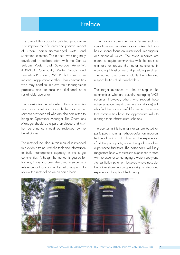# Preface

The aim of this capacity building programme is to improve the efficiency and positive impact of urban, community-managed water and sanitation schemes. The manual was originally developed in collaboration with the Dar es Salaam Water and Sewerage Authority's (DAWASA) Community Water Supply and Sanitation Program (CWSSP); but some of the material is applicable to other urban communities who may need to improve their management practices and increase the likelihood of a sustainable operation.

The material is especially relevant for communities who have a relationship with the main water services provider and who are also committed to hiring an Operations Manager. The Operations Manager should be a paid employee and his/ her performance should be reviewed by the beneficiaries.

The material included in this manual is intended to provide a trainer with the tools and information to build management capacity in the target communities. Although the manual is geared for trainers, it has also been designed to serve as a reference tool for communities who may wish to review the material on an on-going basis.

 The manual covers technical issues such as operations and maintenance activities—but also has a strong focus on institutional, managerial and financial issues. The seven modules are meant to equip communities with the tools to eliminate or reduce the major constraints in managing infrastructure and providing services. The manual also aims to clarify the roles and responsibilities of all stakeholders.

The target audience for the training is the communities who are actually managing WSS schemes. However, others who support these schemes (government, planners and donors) will also find the manual useful for helping to ensure that communities have the appropriate skills to manage their infrastructure schemes.

The courses in this training manual are based on participatory training methodologies, an important feature of which is to draw on the experiences of all the participants, under the guidance of an experienced facilitator. The participants will likely range from those with extensive experience to those with no experience managing a water supply and /or sanitation scheme. However, where possible, the trainer should encourage sharing of ideas and experiences throughout the training.

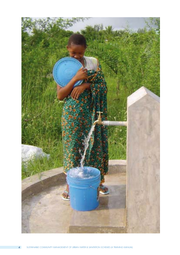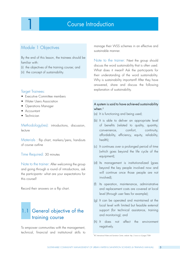## Module 1 Objectives

By the end of this lesson, the trainees should be familiar with:

- (i) the objectives of the training course; and
- (ii) the concept of sustainability.

#### Target Trainees:

- Executive Committee members
- Water Users Association
- Operations Manager
- Accountant
- Technician

Methodology(ies): introductions, discussion, lecture

Materials : flip chart, markers/pens, handouts of course outline

#### Time Required: 30 minutes

Note to the trainer: After welcoming the group and going through a round of introductions, ask the participants- what are your expectations for this course?

Record their answers on a flip chart.

# 1.1 General objective of the training course

To empower communities with the management, technical, financial and institutional skills to

manage their WSS schemes in an effective and sustainable manner.

Note to the trainer: Next the group should discuss the word sustainability that is often used. What does it mean? Ask the participants for their understanding of the word sustainability. Why is sustainability important? After they have answered, share and discuss the following explanation of sustainability.

#### A system is said to have achieved sustainability when:1

- (a) It is functioning and being used;
- (b) It is able to deliver an appropriate level of benefits (related to quality, quantity, convenience, comfort, continuity, affordability, efficiency, equity, reliability, health);
- (c) It continues over a prolonged period of time (which goes beyond the life cycle of the equipment);
- (d) Its management is institutionalized (goes beyond the key people involved now and will continue once those people are not involved);
- (f) Its operation, maintenance, administrative and replacement costs are covered at local level (through user fees for example);
- (g) It can be operated and maintained at the local level with limited but feasible external support (for technical assistance, training and monitoring); and
- (h) It does not affect the environment negatively.

*1 IRC International Water and Sanitation Centre, website: http://www.irc.nl/page/7584*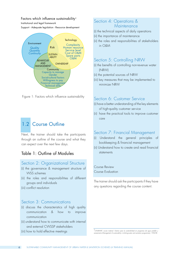Factors which influence sustainability1

Institutional and legal framework

Support - Adequate legislation - Resource development



Figure 1: Factors which influence sustainability

# 1.2 Course Outline

Next, the trainer should take the participants through an outline of the course and what they can expect over the next few days.

## Table 1: Outline of Modules

## Section 2: Organizational Structure

- (i) the governance & management structure of WSS schemes
- (ii) the roles and responsibilities of different groups and individuals
- (iii) conflict resolution

## Section 3: Communications

- (i) discuss the characteristics of high quality communication & how to improve communication
- (ii) understand how to communicate with internal and external CWSSP stakeholders
- (iii) how to hold effective meetings

## Section 4: Operations & **Maintenance**

- (i) the technical aspects of daily operations
- (ii) the importance of maintenance
- (ii) the roles and responsibilities of stakeholders in O&M

# Section 5: Controlling NRW

- (i) the benefits of controlling non-revenue water (NRW)
- (ii) the potential sources of NRW
- (iii) key measures that may be implemented to minimize NRW

## Section 6: Customer Service

(i) have a better understanding of the key elements of high-quality customer service

(ii) have the practical tools to improve customer care

## Section 7: Financial Management

- (i) Understand the general principles of bookkeeping & financial management
- (ii) Understand how to create and read financial statements

Course Review Course Evaluation

The trainer should ask the participants if they have any questions regarding the course content.

*2 CINARA-IRC course material: Gestion para la sostenibilidad en programas de agua potable y saneamiento (Management of sustainability in drinking-water and sanitation programmes), 1994-98.*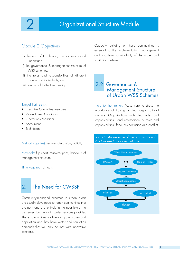

## Module 2 Objectives

- By the end of this lesson, the trainees should understand:
- (i) the governance & management structure of WSS schemes;
- (ii) the roles and responsibilities of different groups and individuals; and
- (iii) how to hold effective meetings.

#### Target trainee(s):

- Executive Committee members
- Water Users Association
- Operations Manager
- Accountant
- Technician

Methodology(ies): lecture, discussion, activity

Materials: flip chart, markers/pens, handouts of management structure

Time Required: 2 hours

# 2.1 The Need for CWSSP

Community-managed schemes in urban areas are usually developed to reach communities that are not - and are unlikely in the near future - to be served by the main water services provider. These communities are likely to grow in area and population and they have water and sanitation demands that will only be met with innovative solutions.

Capacity building of these communities is essential to the implementation, management and long-term sustainability of the water and sanitation systems.

# 2.2 Governance & Management Structure of Urban WSS Schemes

Note to the trainer: Make sure to stress the importance of having a clear organizational structure. Organizations with clear roles and responsibilities - and enforcement of roles and responsibilities-- face less confusion and conflict.

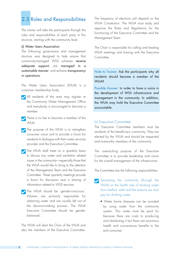2.3 Roles and Responsibilities

The trainer will take the participants through the roles and responsibilities of each party in this structure, starting with the community level.

#### (i) Water Users Association

The following governance and management structure was designed to help ensure that community-managed WSS schemes *receive adequate support;* are *managed in a sustainable manner;* and achieve *transparency in operations.*

The Water Users Association (WUA) is a consumer membership body.

- All residents of the area may register at the Community Water Management Office and everybody is encouraged to become a member.
- There is no fee to become a member of the WUA.
- The purpose of the WUA is to strengthen consumer voice and to provide a forum for residents to dialogue with their water services provider and the Executive Committee.
- The WUA shall meet on a quarterly basis to discuss any water and sanitation related issues in the community—especially those that the WUA would like to bring to the attention of the Management Team and the Executive Committee. These quarterly meetings provide a forum for discussion and a sharing of information related to WSS services.
- The WUA should be 'gender-conscious'. Women are primarily responsible for obtaining water and are usually left out of the decision-making process. The WUA Executive Committee should be genderbalanced.

The WUA will elect the Chair of the WUA and also the members of the Executive Committee.

The frequency of elections will depend on the WUA Constitution. The WUA must study and approve the Rules and Regulations for the functioning of the Executive Committee and the Management Team.

The Chair is responsible for calling and leading WUA meetings and liaising with the Executive Committee.

Note to Trainer: Ask the participants why all residents should become a member of the **WUA?** 

Possible Answer: In order to have a voice in the development of WSS infrastructure and management in the community. In addition, the WUA may hold the Executive Committee accountable.

#### (ii) Executive Committee

The Executive Committee members must be residents of the beneficiary community. They are elected by the WUA and should be respected and trustworthy members of the community.

The overarching purpose of the Executive Committee is to provide leadership and vision for the overall management of the infrastructure.

The Committee has the following responsibilities:

- Sensitizing the community (through the  $\boldsymbol{\mathscr{S}}$ WUA) on the health risks of drinking water from shallow wells and the reasons we must pay for drinking water.
	- Water borne diseases can be avoided by using water from the community system. This water must be paid for because there are costs to producing and distributing it but there are enormous health and convenience benefits to the end consumer.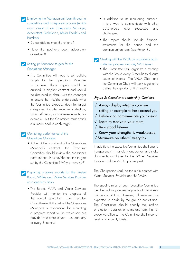Employing the Management Team through a competitive and transparent process (which may consist of an Operations Manager, Accountant, Technician, Meter Readers and Plumbers)

- Do candidates meet the criteria?
- Have the positions been adequately advertised?

### Setting performance targets for the Operations Manager

• The Committee will need to set realistic targets for the Operations Manager to achieve. These targets should be outlined in his/her contract and should be discussed in detail with the Manager to ensure that he/she understands what the Committee expects. Ideas for target categories include revenue collection, billing efficiency or non-revenue water for example - but the Committee must attach a numeric goal to each target.

#### Monitoring performance of the Operations Manager

• At the mid-term and end of the Operations Manager's contract, the Executive Committee should review the Manager's performance. Has he/she met the targets set by the Committee? Why or why not?

## Preparing progress reports for the Trustee Board, WUAs and Water Services Provider on a quarterly basis

• The Board, WUA and Water Services Provider will monitor the progress of the overall operations. The Executive Committee (with the help of the Operations Manager) is responsible for submitting a progress report to the water services provider four times a year (i.e. quarterly or every 3 months).

- In addition to its monitoring purpose, it is a way to communicate with other stakeholders over successes and challenges.
- The report should include financial statements for the period and the communication form *(see Annex 1)*.
- Meeting with the WUA on a quarterly basis to discuss progress and any WSS issues.
	- The Committee shall organize a meeting with the WUA every 3 months to discuss issues of interest. The WUA Chair and the Committee Chair will work together to outline the agenda for this meeting.

#### *Figure 3: Checklist of Leadership Qualities*

- √ Always display integrity you are setting an example to those around you
- √ Define and communicate your vision
- √ Learn to motivate your team
- √ Be a good listener
- √ Know your strengths & weaknesses
- √ Maximize on others' strengths

In addition, the Executive Committee shall ensure transparency in financial management and make documents available to the Water Services Provider and the WUA upon request.

The Chairperson shall be the main contact with Water Services Provider and the WUA.

The specific roles of each Executive Committee member will vary depending on that Committee's unique constitution. However, all members are expected to abide by the group's constitution. The Constitution should specify the method of election, duration of terms and term limit of executive officers. The Committee shall meet at least on a monthly basis.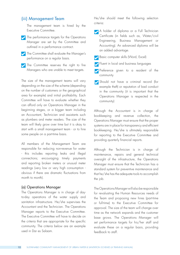## (iii) Management Team

The management team is hired by the Executive Committee.

- The performance targets for the Operations Manager are set by the Committee and outlined in a performance contract.
- The Committee shall evaluate the Manager's performance on a regular basis.
- The Committee reserves the right to fire Managers who are unable to meet targets.

The size of the management teams will vary depending on the size of the scheme (depending on the number of customers or the geographical area for example) and initial profitability. Each Committee will have to evaluate whether they can afford only an Operations Manager in the beginning stages, or a bigger team including an Accountant, Technician and assistants such as plumbers and meter readers. The size of the team will likely grow over time but it is okay to start with a small management team - or to hire some people on a part-time basis.

All members of the Management Team are responsible for reducing non-revenue for water - this includes reporting leaks and illegal connections; encouraging timely payments and reporting broken meters or unusual meter readings (very low or very high consumption obvious if there are dramatic fluctuations from month to month).

#### (a) Operations Manager

The Operations Manager is in charge of dayto-day operations of the water supply and sanitation infrastructure. He/she supervises the Accountant and the Technician. The Operations Manager reports to the Executive Committee. The Executive Committee will have to decide on the criteria that are appropriate for the specific community. The criteria below are an example used in Dar es Salaam.

He/she should meet the following selection criteria:

- A holder of diploma or a Full Technician Certificate (in fields such as, Water/civil Engineering, Business Management or Accounting). An advanced diploma will be an added advantage.
- Basic computer skills (Word, Excel)
- Fluent in local and business languages
- Preference given to a resident of the  $\boldsymbol{\mathscr{S}}$ community
- Should not have a criminal record (for example theft) or reputation of bad conduct in the community (it is important that the Operations Manager is respected in the community)

Although the Accountant is in charge of bookkeeping and revenue collection, the Operations Manager must ensure that the proper systems are in place for transparency and efficient bookkeeping. He/she is ultimately responsible for reporting to the Executive Committee and providing quarterly financial reports.

Although the Technician is in charge of maintenance, repairs and general technical oversight of the infrastructure, the Operations Manager must ensure that the Technician has a standard system for preventive maintenance and that he/she has the adequate tools to accomplish the job.

The Operations Manager will also be responsible for revaluating the Human Resources needs of the Team and proposing new hires (part-time or full-time) to the Executive Committee for approval. The size of the team will change over time as the network expands and the customer base grows. The Operations Manager will set performance targets for his/her staff and evaluate these on a regular basis, providing feedback to staff.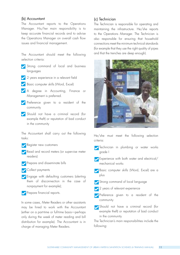#### (b) Accountant

The Accountant reports to the Operations Manager. His/her main responsibility is to keep accurate financial records and to advise the Operations Manager on overall cash flow issues and financial management.

The Accountant should meet the following selection criteria:

- Strong command of local and business  $\boldsymbol{\mathscr{I}}$ languages
- 2 years experience in a relevant field
- Basic computer skills (Word, Excel)
- A degree in Accounting, Finance or Management is preferred.
- Preference given to a resident of the community
- Should not have a criminal record (for example theft) or reputation of bad conduct in the community

The Accountant shall carry out the following tasks:

- Register new customers
- Read and record meters (or supervise meter readers)
- Prepare and disseminate bills
- Collect payments
- Engage with defaulting customers (alerting them of disconnection in the case of nonpayment for example);
- Prepare financial reports.

In some cases, Meter Readers or other assistants may be hired to work with the Accountant (either on a part-time or full-time basis—perhaps only during the week of meter reading and bill distribution for example). The Accountant is in charge of managing Meter Readers.

#### (c) Technician

The Technician is responsible for operating and maintaining the infrastructure. He/she reports to the Operations Manager. The Technician is also responsible for ensuring that household connections meet the minimum technical standards (for example that they use the right quality of pipes and that the trenches are deep enough).



He/she must meet the following selection criteria:

**Technician in plumbing or water works** grade I

Experience with both water and electrical/ mechanical works

- Basic computer skills (Word, Excel) are a plus
- Strong command of local language
- 2 years of relevant experience

Preference given to a resident of the community

Should not have a criminal record (for example theft) or reputation of bad conduct in the community

The Technician's main responsibilities include the following: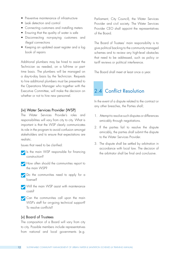- Preventive maintenance of infrastructure
- Leak detection and control
- Connecting customers and installing meters
- Ensuring that the quality of water is safe
- Disconnecting non-paying customers and illegal connections
- Keeping an updated asset register and a log book of repairs

Additional plumbers may be hired to assist the Technician as needed, on a full-time or parttime basis. The plumbers will be managed on a day-to-day basis by the Technician. Requests to hire additional plumbers must be presented to the Operations Manager who together with the Executive Committee, will make the decision on whether or not to hire new personnel.

#### (iv) Water Services Provider (WSP)

The Water Services Provider's roles and responsibilities will vary from city to city. What is important is that the WSP clearly communicates its role in the program to avoid confusion amongst stakeholders and to ensure that expectations are realistic.

Issues that need to be clarified: .

- Is the main WSP responsible for financing construction?
- How often should the communities report to the main WSP?
- Do the communities need to apply for a license?
- Will the main WSP assist with maintenance costs?
- Can the communities call upon the main WSP's staff for on-going technical support? To resolve conflicts?

#### (v) Board of Trustees

The composition of a Board will vary from city to city. Possible members include representatives from national and local governments (e.g. Parliament, City Council), the Water Services Provider and civil society. The Water Services Provider CEO shall appoint the representatives of the Board.

The Board of Trustees' main responsibility is to give political backing to the community-managed schemes and to review any high-level obstacles that need to be addressed, such as policy or tariff reviews or political interference.

The Board shall meet at least once a year.

# 2.4 Conflict Resolution

In the event of a dispute related to the contract or any other breaches, the Parties shall;

- 1. Attempt to resolve such disputes or differences amicably through negotiations.
- 2. If the parties fail to resolve the dispute amicably, the parties shall submit the dispute to the Water Services Provider.
- 3. The dispute shall be settled by arbitration in accordance with local law. The decision of the arbitrator shall be final and conclusive.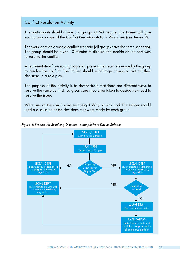## Conflict Resolution Activity

The participants should divide into groups of 6-8 people. The trainer will give each group a copy of the *Conflict Resolution Activity Worksheet* (see Annex 2).

The worksheet describes a conflict scenario (all groups have the same scenario). The group should be given 10 minutes to discuss and decide on the best way to resolve the conflict.

A representative from each group shall present the decisions made by the group to resolve the conflict. The trainer should encourage groups to act out their decisions in a role play.

The purpose of the activity is to demonstrate that there are different ways to resolve the same conflict, so great care should be taken to decide how best to resolve the issue.

Were any of the conclusions surprising? Why or why not? The trainer should lead a discussion of the decisions that were made by each group.



*Figure 4: Process for Resolving Disputes - example from Dar es Salaam*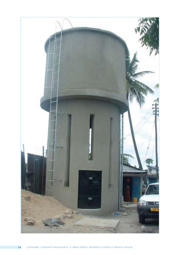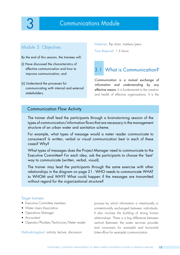

# Module 3: Objectives

By the end of this session, the trainees will:

- (i) Have discussed the characteristics of effective communication and how to improve communication; and
- (ii) Understand the processes for communicating with internal and external stakeholders.

Materials: flip chart, markers/pens Time Required: 1.5 hours

# 3.1 What is Communication?

*Communication is a mutual exchange of information and understanding by any effective means.* It is fundamental to the creation and health of effective organizations. It is the

## Communication Flow Activity

The trainer shall lead the participants through a brainstorming session of the types of communication/information flows that are necessary in the management structure of an urban water and sanitation scheme.

For example, what types of message would a meter reader communicate to consumers? Is written, verbal or visual communication best in each of these cases? Why?

What types of messages does the Project Manager need to communicate to the Executive Committee? For each idea, ask the participants to choose the 'best' way to communicate (written, verbal, visual).

The trainer may lead the participants through the same exercise with other relationships in the diagram on page 21 - WHO needs to communicate WHAT to WHOM and WHY? What could happen if the messages are transmitted without regard for the organizational structure?

#### Target trainees:

- Executive Committee members
- Water Users Association
- Operations Manager
- Accountant
- Operator/Plumber/Technician/Meter reader

Methodology(ies): activity, lecture, discussion

process by which information is intentionally or unintentionally exchanged between individuals. It also involves the building of strong human relationships. There is a big difference between vertical (between the water services provider and consumers for example) and horizontal (inter-office for example) communication.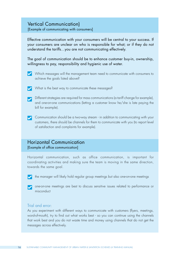# Vertical Communication)

[Example of communicating with consumers]

Effective communication with your consumers will be central to your success. If your consumers are unclear on who is responsible for what; or if they do not understand the tariffs…you are not communicating effectively.

The goal of communication should be to enhance customer buy-in, ownership, willingness to pay, responsibility and hygienic use of water.

Which messages will the management team need to communicate with consumers to achieve the goals listed above?

- What is the best way to communicate these messages?
- $\blacktriangleright$  Different strategies are required for mass communications (a tariff change for example), and one-on-one communications (letting a customer know he/she is late paying the bill for example).
- Communication should be a two-way stream in addition to communicating with your  $\blacktriangleright$ customers, there should be channels for them to communicate with you (to report level of satisfaction and complaints for example).

# Horizontal Communication

[Example of office communication]

Horizontal communication, such as office communication, is important for coordinating activities and making sure the team is moving in the same direction, towards the same goal.

the manager will likely hold regular group meetings but also one-on-one meetings

one-on-one meetings are best to discuss sensitive issues related to performance or misconduct

### Trial and error:

As you experiment with different ways to communicate with customers (flyers, meetings, word-of-mouth), try to find out what works best - so you can continue using the channels that work best and you do not waste time and money using channels that do not get the messages across effectively.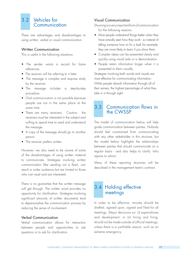# 3.2 Vehicles for Communication

There are advantages and disadvantages to using written, verbal or visual communication.

### Written Communication

This is useful in the following situations:

- The sender wants a record for future references.
- The receiver will be referring to it later.
- The message is complex and requires study by the receiver.
- The message includes a step-by-step procedure.
- Oral communication is not possible because people are not in the same place at the same time.
- There are many receivers. Caution: the receivers must be interested in the subject and willing to spend time to read and understand the message.
- A copy of the message should go to another person.
- The receiver prefers written.

However, we also need to be aware of some of the disadvantages of using written material to communicate. Strategies involving written communication (like sending out a flyer), can reach a wider audience but are limited to those who can read and are interested.

There is no guarantee that the written message will get through. The written word provides no opportunity for clarification. Strategies involving significant amounts of written documents tend to depersonalise the communication process by reducing the sense of involvement.

#### Verbal Communication

Verbal communication allows for interaction between people and opportunities to ask questions or to ask for clarification.

## Visual Communication

Showing is a very important form of communication for the following reasons:

- Most people understand things better when they have actually seen how they work - so instead of telling someone how to fix a leak for example, they are more likely to learn if you show them.
- Complex ideas can be presented clearly and quickly using visual aids or a demonstration.
- People retain information longer when it is presented to them visually.

Strategies involving both words and visuals are most effective for communicating information. While people absorb information through all of their senses, the highest percentage of what they take in is through sight.

# 3.3 Communication flows in the CWSSP

The model of communication below will help guide communication between parties. Nobody should feel constrained from communicating with any other stakeholder in this structure, but the model below highlights the relationships between parties that should communicate on a regular basis - and also helps to clarify 'who reports to whom'.

Many of these reporting structures will be described in the management team's contract.

# 3.4 Holding effective meetings

In order to be effective, minutes should be drafted, agreed upon, signed and filed for all meetings. Major decisions on: (i) expenditures and development; or (ii) hiring and firing, should not be made outside of official meetings, unless there is a justifiable reason, such as an extreme emergency.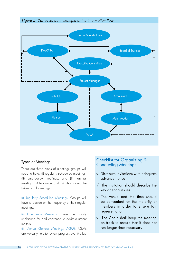

# Types of Meetings

There are three types of meetings groups will need to hold: (i) regularly scheduled meetings; (ii) emergency meetings; and (iii) annual meetings. Attendance and minutes should be taken at all meetings.

(i) Regularly Scheduled Meetings: Groups will have to decide on the frequency of their regular meetings.

(ii) Emergency Meetings: These are usually unplanned for and convened to address urgent matters.

(iii) Annual General Meetings (AGM): AGMs are typically held to review progress over the last

## Checklist for Organizing & Conducting Meetings

- √ Distribute invitations with adequate advance notice
- √ The invitation should describe the key agenda issues
- √ The venue and the time should be convenient for the majority of members in order to ensure fair representation
- $\sqrt{\phantom{a}}$  The Chair shall keep the meeting on track to ensure that it does not run longer than necessary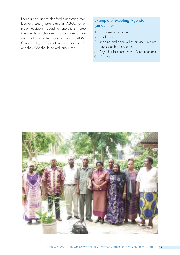financial year and to plan for the upcoming year. Elections usually take place at AGMs. Other major decisions regarding operations, large investments or changes in policy are usually discussed and voted upon during an AGM. Consequently, a large attendance is desirable and the AGM should be well publicized.

# Example of Meeting Agenda (an outline)

- 1. Call meeting to order
- 2. Apologies
- 3. Reading and approval of previous minutes
- 4. Key issues for discussion
- 5. Any other business (AOB)/Announcements
- 6. Closing

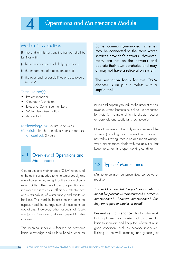

## Module 4: Objectives

By the end of this session, the trainees shall be familiar with:

- (i) the technical aspects of daily operations;
- (ii) the importance of maintenance; and
- (ii) the roles and responsibilities of stakeholders in O&M.

#### Target trainee(s):

- Project manager
- Operator/Technician
- Executive Committee members
- Water Users Association
- **Accountant**

Methodology(ies): lecture, discussion Materials: flip chart, markers/pens, handouts Time Required: 3 hours

# 4.1 Overview of Operations and **Maintenance**

Operations and maintenance (O&M) refers to all of the activities needed to run a water supply and sanitation scheme, except for the construction of new facilities. The overall aim of operation and maintenance is to ensure efficiency, effectiveness and sustainability of water supply and sanitation facilities. This module focuses on the technical aspects - and the management of these technical operations. However, other aspects of O&M are just as important and are covered in other modules.

This technical module is focused on providing basic knowledge and skills to handle technical Some community-managed schemes may be connected to the main water services provider's network. However, many are not on the network and operate their own boreholes and may or may not have a reticulation system.

The sanitation focus for this O&M chapter is on public toilets with a septic tank.

issues and hopefully to reduce the amount of nonrevenue water (sometimes called 'unaccounted for water'). The material in this chapter focuses on borehole and septic tank technologies.

Operations refers to the daily management of the scheme (including pump operation, rationing, network surveying, recording and report writing), while maintenance deals with the activities that keep the system in proper working condition.

# 4.2 Types of Maintenance

Maintenance may be preventive, corrective or reactive.

*Trainer Question: Ask the participants what is meant by preventive maintenance? Corrective maintenance? Reactive maintenance? Can they try to give examples of each?*

Preventive maintenance: this includes work that is planned and carried out on a regular basis to maintain and keep the infrastructure in good condition, such as network inspection, flushing of the well, cleaning and greasing of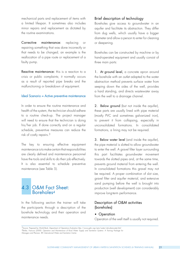mechanical parts and replacement of items with a limited lifespan. It sometimes also includes minor repairs and replacement as dictated by the routine examinations.

Corrective maintenance: replacing or repairing something that was done incorrectly or that needs to be changed; an example is the reallocation of a pipe route or replacement of a faulty pump.

Reactive maintenance: this is a reaction to a crisis or public complaints; it normally occurs as a result of reported pipe breaks and the malfunctioning or breakdown of equipment.

#### Ideal Scenario = Active preventive maintenance

In order to ensure the routine maintenance and health of the system, the technician should adhere to a routine check-up. The project manager will need to ensure that the technician is doing his/her job. If done correctly and on a regular schedule, preventive measures can reduce the risk of costly repairs.<sup>3</sup>

The key to ensuring effective equipment maintenance is to make certain that responsibilities are clearly defined and maintenance personnel have the tools and skills to do their job effectively. It is also essential to schedule preventive maintenance (see Table 5).

# 4.3 O&M Fact Sheet: Boreholes4

In the following section the trainer will take the participants through a description of the borehole technology and their operation and maintenance needs.

### Brief description of technology

Boreholes give access to groundwater in an aquifer and facilitate its abstraction. They differ from dug wells, which usually have a bigger diameter and allow a person to enter for cleaning or deepening.

Boreholes can be constructed by machine or by hand-operated equipment and usually consist of three main parts:

1. At ground level, a concrete apron around the borehole with an outlet adapted to the water abstraction method prevents surface water from seeping down the sides of the well, provides a hard standing, and directs wastewater away from the well to a drainage channel.

2. Below ground (but not inside the aquifer), these parts are usually lined with pipe material (mostly PVC and sometimes galvanized iron), to prevent it from collapsing, especially in unconsolidated formations. In consolidated formations, a lining may not be required.

3. Below water level (and inside the aquifer), the pipe material is slotted to allow groundwater to enter the well. A gravel filter layer surrounding this part facilitates groundwater movement towards the slotted pipes and, at the same time, prevents ground material from entering the well. In consolidated formations this gravel may not be required. A proper combination of slot size, gravel filter and aquifer material, and extensive sand pumping before the well is brought into production (well development) can considerably improve long-term performance.

### Description of O&M activities (boreholes)

#### • Operation

Operation of the well itself is usually not required.

*3Source: Prepared by World Bank, Department of Operations Evaluation http://www.gdrc.org/uem/water/wb-urbanwater.html 4Brikke, Francois (2000). Operation and Maintenance of Rural Water Supply and Sanitation Systems: A Training Package for Managers and Planners. IRC International Water and Sanitation Centre.*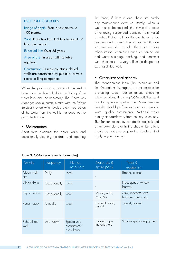#### FACTS ON BOREHOLES

Range of depth: From a few metres to 100 metres.

Yield: From less than 0.3 litre to about 17 litres per second.

Expected life: Over 25 years.

Area of use: In areas with suitable aquifers.

Construction: In most countries, drilled wells are constructed by public or private sector drilling companies.

When the production capacity of the well is lower than the demand, daily monitoring of the water level may be necessary. The Operations Manager should communicate with the Water Services Provider when levels are low. Abstraction of the water from the well is managed by the group technician.

#### • Maintenance

Apart from cleaning the apron daily and occasionally cleaning the drain and repairing

the fence, if there is one, there are hardly any maintenance activities. Rarely, when a well has to be desilted (the physical process of removing suspended particles from water) or rehabilitated, all appliances have to be removed and a specialized company will have to come and do the job. There are various rehabilitation techniques such as forced air and water pumping, brushing, and treatment with chemicals. It is very difficult to deepen an existing drilled well.

### • Organizational aspects

The Management Team (the technician and the Operations Manager), are responsible for preventing water contamination, executing O&M activities, financing O&M activities, and monitoring water quality. The Water Services Provider should perform random and periodic water quality assessments. National water quality standards vary from country to country. The Tanzanian quality standards are included as an example later in the chapter but efforts should be made to acquire the standards that apply in your country.

| Activity             | Frequency    | Human<br>resources                         | Materials &<br>spare parts    | Tools &<br>equipment                      |
|----------------------|--------------|--------------------------------------------|-------------------------------|-------------------------------------------|
| Clean well<br>site   | Daily        | Local                                      |                               | Broom, bucket                             |
| Clean drain          | Occasionally | Local                                      |                               | Hoe, spade, wheel-<br>barrow              |
| Repair fence         | Occasionally | Local                                      | Wood, nails,<br>wire, etc     | Saw, machete, axe,<br>hammer, pliers, etc |
| Repair apron         | Annually     | Local                                      | Cement, sand,<br>gravel       | Trowel, bucket                            |
| Rehabilitate<br>well | Very rarely  | Specialized<br>contractors/<br>consultants | Gravel, pipe<br>material, etc | Various special equipment                 |

| Table 3: O&M Requirements (boreholes) |  |  |
|---------------------------------------|--|--|
|---------------------------------------|--|--|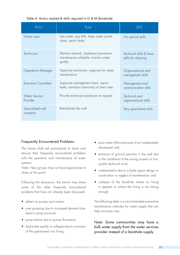| Actor                            | Role                                                                                    | Skill                                           |
|----------------------------------|-----------------------------------------------------------------------------------------|-------------------------------------------------|
| Water users                      | Use water, pay bills, keep water points<br>clean, report leaks                          | No special skills                               |
| Technician                       | Monitor network, implement preventive<br>maintenance schedule, monitor water<br>quality | Technical skills & basic<br>skills for cleaning |
| <b>Operations Manager</b>        | Supervise technician, organize for major<br>maintenance                                 | Organizational and<br>management skills         |
| <b>Executive Committee</b>       | Supervise management team, report<br>leaks, sensitize community on their roles          | Management and<br>communication skills          |
| <b>Water Service</b><br>Provider | Provide technical assistance on request                                                 | Technical and<br>organizational skills          |
| Specialized well<br>company      | Rehabilitate the well                                                                   | Very specialized skills                         |

### Table 4: Actors implied & skills required in O & M (borehole)

## Frequently Encountered Problems

The trainer shall ask participants to share and discuss their frequently encountered problems with the operation and maintenance of water systems.

*Note: New groups may not have experiences to share at this point.*

Following the discussion, the trainer may share some of the other frequently encountered problems that have not already been discussed:

- defect on pumps and motors;
- over pumping due to increased demand (can lead to pump burnout);
- pump failure due to power fluctuation;
- bad water quality or collapse due to corrosion of the galvanized iron lining;
- poor water inflow because of an inadequately developed well;
- entrance of ground particles in the well due to the installment of the wrong screens or lowquality technical work;
- contamination due to a faulty apron design or construction or neglect of maintenance; and
- collapse of the borehole where no lining is applied or where the lining is not strong enough.

The following table is a recommended preventive maintenance calendar for water supply that can help minimize risks.

Note: Some communities may have a bulk water supply from the water services provider instead of a borehole supply.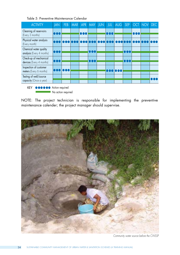| <b>ACTIVITY</b>                                        | <b>JAN</b>   | <b>FEB</b> | <b>MAR</b> | APR         | <b>MAY</b> | <b>JUN</b> | <b>JUL</b>          | <b>AUG</b> | <b>SEP</b> |      | <b>OCT NOV</b> | <b>DEC</b> |
|--------------------------------------------------------|--------------|------------|------------|-------------|------------|------------|---------------------|------------|------------|------|----------------|------------|
| Cleaning of reservoirs<br>(Every 3 months)             | $\mathbf{Y}$ |            |            | <b>IXIX</b> |            |            | $\bullet$ $\bullet$ |            |            | DO X |                |            |
| Physical water analysis<br>(Every month)               | <b>000</b>   |            |            |             |            |            |                     |            |            |      |                |            |
| Chemical water quality<br>analysis (Every 4 months)    |              |            |            |             | 006        |            |                     |            | nod        |      |                |            |
| Check-up of mechanical<br>devices (Every 4 months)     | <b></b>      |            |            |             | <b>OOC</b> |            |                     |            | <b>TAX</b> |      |                |            |
| Inspection of customer<br>meters (Every 6 months)      |              | <b>IOT</b> |            |             |            |            |                     |            |            |      |                |            |
| Testing of well/source<br>capacity (Once a year)       |              |            |            |             |            |            |                     |            |            |      |                |            |
| KEY<br>Action required<br>000000<br>No action required |              |            |            |             |            |            |                     |            |            |      |                |            |

Table 5: Preventive Maintenance Calendar

NOTE: The project technician is responsible for implementing the preventive maintenance calender; the project manager should supervise.



*Community water source before the CWSSP*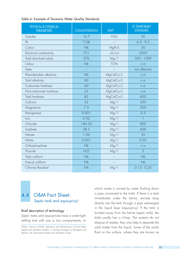| PHYSICAL & CHEMICAL<br><b>PARAMETERS</b> | <b>CONCENTRATION</b> | <b>UNIT</b>               | <b>TZ TEMPORARY</b><br><b>STANDARD</b> |
|------------------------------------------|----------------------|---------------------------|----------------------------------------|
| Turbidity                                | 16.7                 | <b>NTU</b>                | 30                                     |
| Ph                                       | 7.08                 |                           | $6.5 - 9.2$                            |
| Colour                                   | NIL                  | MgPt/L                    | 50                                     |
| Electrical conductivity                  | 751                  | $\mathrm{uS}/\mathrm{cm}$ | 2000                                   |
| Total dissolved solids                   | 376                  | Mg/1                      | $500 - 1500$                           |
| Odour                                    | <b>NIL</b>           | <b>TON</b>                | n.m                                    |
| Taste                                    |                      |                           | not offensive                          |
| Phenolphalein alkalinity                 | NIL                  | MgCalCo/L                 | n.m                                    |
| Total alkalinity                         | 60                   | MgCalCo/L                 | n.m                                    |
| Carbonate hardness                       | 60                   | MgCalCo/L                 | n.m                                    |
| Non-carbonate hardness                   | 25                   | MgCalCo/L                 | n.m                                    |
| <b>Total hardness</b>                    | 85                   | MgCalCo/L                 | 600                                    |
| Calcium                                  | 22                   | Mg/1                      | 250                                    |
| Magnesium                                | 7.3                  | Mg/1                      | 200                                    |
| Manganese                                | 0.001                | Mg/1                      | 0.5                                    |
| Iron                                     | 0.32                 | Mg/1                      |                                        |
| Chloride                                 | 184.34               | Mg/1                      | 800                                    |
| Sulphate                                 | 28.3                 | Mg/1                      |                                        |
| Nitrate                                  | 1.06                 | Mg/1                      | 30                                     |
| Nitrite                                  | 0.001                | Mg/1                      | 0.05                                   |
| Orthophosphate                           | <b>NIL</b>           | Mg/1                      | n.m                                    |
| Flouride                                 | N.D                  | Mg/1                      | 3                                      |
| Total coliform                           | <b>NIL</b>           |                           | <b>NIL</b>                             |
| Faecal coliform                          | <b>NIL</b>           |                           | NIL                                    |
| Chlorine Residual                        | NA                   | Mg/1                      | $0.15 - 0.20$                          |

#### Table 6: Example of Tanzania Water Quality Standards

# 4.4 O&M Fact Sheet: Septic tank and aqua-privy<sup>5</sup>

#### Brief description of technology

Septic tanks and aqua-privies have a water-tight settling tank with one or two compartments, to

which waste is carried by water flushing down a pipe connected to the toilet. If there is a tank immediately under the latrine, excreta drop directly into the tank through a pipe submerged in the liquid layer (aqua-privy). If the tank is located away from the latrine (septic tank), the toilet usually has a U-trap. The systems do not dispose of wastes; they only help to separate the solid matter from the liquid. Some of the solids float on the surface, where they are known as

*<sup>5</sup>Brikke, Francois (2000). Operation and Maintenance of Rural Water Supply and Sanitation Systems: A Training Package for Managers and Planners. IRC International Water and Sanitation Centre*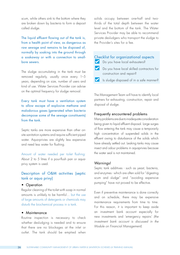scum, while others sink to the bottom where they are broken down by bacteria to form a deposit called sludge.

The liquid effluent flowing out of the tank is, from a health point of view, as dangerous as raw sewage and remains to be disposed of, normally by soaking into the ground through a soakaway or with a connection to smallbore sewers.

The sludge accumulating in the tank must be removed regularly, usually once every 1–5 years, depending on size, number of users and kind of use. Water Services Provider can advise on the optimal frequency for sludge removal.

Every tank must have a ventilation system to allow escape of explosive methane and malodorous gases (generated when bacteria decompose some of the sewage constituents) from the tank.

Septic tanks are more expensive than other onsite sanitation systems and require sufficient piped water. Aqua-privies are slightly less expensive and need less water for flushing.

Amount of water needed per toilet flushing: About 2 to 5 litres if a pour-flush pan or aquaprivy system is used.

## Description of O&M activities (septic tank or aqua privy)

#### • Operation

Regular cleaning of the toilet with soap in normal amounts is unlikely to be harmful... but the use of large amounts of detergents or chemicals may disturb the biochemical process in a tank.

#### • Maintenance

Routine inspection is necessary to check whether desludging is needed and to ensure that there are no blockages at the inlet or outlet. The tank should be emptied when

solids occupy between one-half and twothirds of the total depth between the water level and the bottom of the tank. The Water Services Provider may be able to recommend private desludgers who transport the sludge to the Provider's sites for a fee.

# Checklist for organizational aspects

Do you have local exhausters?

Do you have local skilled contractors for construction and repair?

Is sludge disposed of in a safe manner?

The Management Team will have to identify local partners for exhausting, construction, repair and disposal of sludge.

#### Frequently encountered problems

Many problems are due to inadequate consideration being given to liquid effluent disposal. Large surges of flow entering the tank may cause a temporarily high concentration of suspended solids in the effluent owing to disturbance of the solids which have already settled out. Leaking tanks may cause insect and odour problems in aquaprivies because the water seal is not maintained.

#### Warnings!

Septic tank additives - such as yeast, bacteria, and enzymes - which are often sold for "digesting scum and sludge" and "avoiding expensive pumping" have not proved to be effective.

Even if preventive maintenance is done correctly and on schedule, there may be expensive maintenance requirements from time to time. For this reason, it is important to keep aside an investment bank account especially for new investments and 'emergency repairs' *(the investment bank account is discussed in the Module on Financial Management).*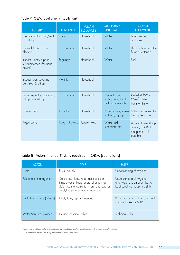### Table 7: O&M requirements (septic tank)

| <b>ACTIVITY</b>                                                   | <b>FREQUENCY</b> | <b>HUMAN</b><br><b>RESOURCES</b> | <b>MATERIALS &amp;</b><br><b>SPARE PARTS</b>               | <b>TOOLS &amp;</b><br><b>EQUIPMENT</b>                                               |
|-------------------------------------------------------------------|------------------|----------------------------------|------------------------------------------------------------|--------------------------------------------------------------------------------------|
| Clean squatting pan/seat<br>& building                            | Daily            | Household                        | Water                                                      | Brush, water,<br>container.                                                          |
| Unblock U-trap when<br>blocked                                    | Occasionally     | Household                        | Water                                                      | Flexible brush or other<br>flexible materials                                        |
| Inspect if entry pipe is<br>still submerged (for aqua<br>privies) | Regularly        | Household                        | Water                                                      | <b>Stick</b>                                                                         |
| Inspect floor, squatting<br>pan/seat & U-trap                     | Monthly          | Household                        |                                                            |                                                                                      |
| Repair squatting pan/seat,<br>U-trap or building                  | Occasionally     | Household                        | Cement, sand,<br>water, nails, local<br>building materials | Bucket or bowl,<br>trowel <sup><math>6</math></sup> , saw,<br>hammer, knife          |
| Control vents                                                     | Annually         | Household                        | Rope or wire, screen<br>material, pipe parts               | Scissors or wire-cutting<br>tools, pliers, saw                                       |
| Empty tanks                                                       | Every 1-5 years  | Service crew                     | Water, fuel,<br>lubricants, etc                            | Vacuum tanker (large<br>or mini) or MAPET<br>equipment <sup>7</sup> , if<br>possible |

# Table 8: Actors implied & skills required in O&M (septic tank)

| <b>ACTOR</b>                   | <b>ROLE</b>                                                                                                                                                            | <b>SKILLS</b>                                                                             |
|--------------------------------|------------------------------------------------------------------------------------------------------------------------------------------------------------------------|-------------------------------------------------------------------------------------------|
| <b>Users</b>                   | Flush, be tidy                                                                                                                                                         | Understanding of hygiene                                                                  |
| Public toilet management       | Collect user fees, keep facilities clean,<br>inspect vents, keep record of emptying<br>dates, control contents in tank and pay for<br>emptying services when necessary | Understanding of hygiene<br>and hygiene promotion, basic<br>bookkeeping, measuring skills |
| Sanitation Service (private)   | Empty tank, repair if needed                                                                                                                                           | Basic masonry, skills to work with<br>vacuum tanker or MAPET                              |
| <b>Water Services Provider</b> | Provide technical advice                                                                                                                                               | Technical skills                                                                          |

 *6 A trowel is a small hand tool with a handle and flat metal blade; used for scooping or spreading plaster or similar materials*

*7 MAPETs are small tankers used in unplanned areas to draw waste water.*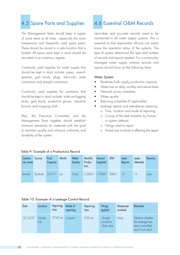# 4.5 Spare Parts and Supplies

The Management Team should keep a supply of some items at all times - especially the more inexpensive and frequently used spare parts. These should be stored in a safe location that is locked. All spare parts kept in stock should be recorded in an inventory register.

Commonly used supplies for water supply that should be kept in stock include: pipes, wrench spanner, gum boots, plugs, bib-cocks, male connectors and straight connectors.

Commonly used supplies for sanitation that should be kept in stock include: toilet unclogging sticks, gum boots, protective gloves, industrial brooms and mopping cloth.

Also, the Executive Committee and the Management Team together should establish minimum standards for materials with the goal to maintain quality and enhance uniformity and durability of the system.

# 4.6 Essential O&M Records

Up-to-date and accurate records need to be maintained in all water supply systems. This is essential so that responsible officials can easily know the operation status of the systems. The type of system determines the type and number of records and reports needed. For a communitymanaged water supply scheme records and reports should focus on the following items:

#### Water System

- Borehole/bulk supply production capacity
- Water loss on daily, monthly and annual basis
- Network survey schedules
- Water quality
- Rationing schedules (if applicable)
- Leakage reports and attendance capturing
	- o Time, location and mode of reporting
	- o Course of the leak (whether by human or system defects)
	- o Fittings used to repair
	- o Actual cost involved in effecting the repair

| Commu-<br>nity name | Source   | Prod.<br>Capacity | Month | Water<br>Quality | Monthly<br>Produc-<br>tion                                | Amount<br>Supplied | UfW | Leaks<br>Reports | Leaks<br>Attended | Remarks |
|---------------------|----------|-------------------|-------|------------------|-----------------------------------------------------------|--------------------|-----|------------------|-------------------|---------|
| Kitunda             | Borehole | $12m^{3/hr}$      | lan   | Good             | 2,000m <sup>3</sup> 1,700m <sup>3</sup> 300m <sup>3</sup> |                    |     | 15               | 15                | none    |

#### Table 9: Example of a Productions Record

#### Table 10: Example of a Leakage Control Record

| Date     | Location        | Reporting<br>time | Mode of<br>reporting | Repairing<br>time | <b>Fittings</b><br>applied               | Manpower<br>involved | Remarks                                                                  |
|----------|-----------------|-------------------|----------------------|-------------------|------------------------------------------|----------------------|--------------------------------------------------------------------------|
| 12/12/07 | Kitunda<br>kati | 07:45 am Customer |                      | $8:50 \text{ cm}$ | - Straight<br>connection<br>- Gate valve | None                 | Mention whether<br>the leakage has<br>been controlled<br>and if not why? |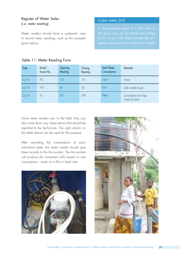### Register of Water Sales (i.e. meter reading)

Meter readers should have a systematic way to record meter readings, such as the example given below.

#### Cubic meter (m3)

| Date  | Kiosk/<br>house No. | Opening<br>Reading | Closing<br>Reading | <b>Total Water</b><br>Consumption | Remarks                                  |
|-------|---------------------|--------------------|--------------------|-----------------------------------|------------------------------------------|
| 22/10 | K <sub>2</sub>      | 135                | $\vert 5 \vert$    | 16m <sup>3</sup>                  | None                                     |
| 22/10 | H35                 | 44                 | 50                 | 6m <sup>3</sup>                   | Leak outside house                       |
| 22/10 | K3                  | 201                | 299                | 98m <sup>3</sup>                  | Consumption too high;<br>check for leaks |

## Table 11: Meter Reading Form

Since meter readers are 'in the field' they can also write down any observations that should be reported to the Technician. The right column on the table above can be used for this purpose.

After recording the consumption of each individual meter, the meter reader should give these records to the Accountant. The Accountant will produce the consumer's bills based on real consumption - never on a flat or fixed rate.



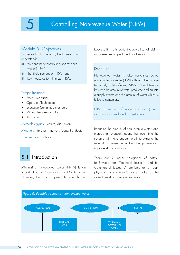

# 5 Controlling Non-revenue Water (NRW)

## Module 5: Objectives

By the end of this session, the trainees shall understand:

- (i) the benefits of controlling non-revenue water (NRW);
- (ii) the likely sources of NRW; and
- (iii) key measures to minimize NRW.

#### Target Trainees:

- Project manager
- Operator/Technician
- Executive Committee members
- Water Users Association
- **Accountant**

Methodology(ies): lecture, discussion Materials: flip chart, markers/pens, handouts Time Required: 2 hours

# 5.1 Introduction

Minimizing non-revenue water (NRW) is an important part of Operations and Maintenance. However, the topic is given its own chapter

because it is so important to overall sustainability and deserves a great deal of attention.

### Definition

Non-revenue water is also sometimes called unaccounted-for water (UfW) (although the two are technically a bit different) NRW is the difference between the amount of water produced and put into a supply system and the amount of water which is billed to consumers.

NRW = Amount of water produced (minus) amount of water billed to customers

Reducing the amount of non-revenue water (and increasing revenue), means that over time the scheme will have enough profit to expand the network, increase the number of employees and improve staff conditions.

There are 2 major categories of NRW: (i) Physical (or 'Technical losses'); and (ii) Commercial losses. A combination of both physical and commercial losses makes up the overall level of non-revenue water.

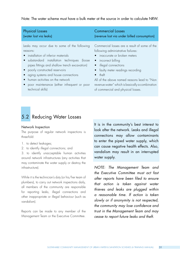Note: The water scheme must have a bulk meter at the source in order to calculate NRW.

#### Physical Losses (water lost via leaks)

Leaks may occur due to some of the following reasons:

- installation of inferior materials
- substandard installation techniques (loose pipes fittings and shallow trench excavation)
- poorly constructed reservoirs
- aging systems and house connections
- human activities on the network
- poor maintenance (either infrequent or poor technical skills)

#### Commercial Losses

(revenue lost via under billed consumption)

Commercial losses are a result of some of the following administrative failures:

- inaccurate or broken meters
- incorrect billing
- illegal connections
- faulty meter readings recording
- theft

All of the above named reasons lead to "Non revenue water" which is basically a combination of commercial and physical losses.

# 5.2 Reducing Water Losses

#### Network Inspection

The purpose of regular network inspections is three-fold:

- 1. to detect leakages;
- 2. to identify illegal connections; and

3. to identify unacceptable human activities around network infrastructures (any activities that may contaminate the water supply or destroy the infrastructure).

While it is the technician's duty (or his/her team of plumbers), to carry out network inspections daily, all members of the community are responsible for reporting leaks, illegal connections and other inappropriate or illegal behaviour (such as vandalism).

Reports can be made to any member of the Management Team or the Executive Committee.

It is in the community's best interest to look after the network. Leaks and illegal connections may allow contaminants to enter the piped water supply, which can cause negative health effects. Also, vandalism may result in an interrupted water supply.

*NOTE: The Management Team and the Executive Committee must act fast after reports have been filed to ensure that action is taken against water thieves and leaks are plugged within a reasonable time. If action is taken slowly or if anonymity is not respected, the community may lose confidence and trust in the Management Team and may cease to report future leaks and theft.*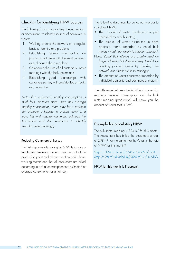#### Checklist for Identifying NRW Sources

The following four tasks may help the technician or accountant - to identify sources of non-revenue water:

- (1) Walking around the network on a regular basis to identify any problems;
- (2) Establishing regular check-points on junctions and areas with frequent problems and checking these regularly;
- (3) Comparing the sum of all customers' meter readings with the bulk meter; and
- (4) Establishing good relationships with customers so they will provide tips on leaks and water theft

*Note: If a customer's monthly consumption is much less—or much more—than their average monthly consumption, there may be a problem (for example a bypass, a broken meter or a leak; this will require teamwork between the Accountant and the Technician to identify irregular meter readings).*

#### Reducing Commercial Losses

The first step towards managing NRW is to have a functioning metering system - this means that the production point and all consumption points have working meters and that all consumers are billed according to actual consumption (not estimated or average consumption or a flat fee).

The following data must be collected in order to calculate NRW:

- The amount of water produced/pumped (recorded by a bulk meter);
- The amount of water distributed in each particular zone (recorded by zonal bulk meters - *might not apply to smaller schemes);*
- Note: *Zonal Bulk Meters are usually used on large schemes but they are very helpful for isolating problem areas by breaking the network into smaller units to manage;*
- The amount of water consumed (recorded by individual domestic and commercial meters).

The difference between the individual connection readings (metered consumption) and the bulk meter reading (production) will show you the amount of water that is 'lost'.

#### Example for calculating NRW

The bulk meter reading is 324 m<sup>3</sup> for this month. The Accountant has billed the customers a total of 298 m3 for the same month. What is the rate of NRW for this month?

Step 1:  $324 \text{ m}^3$  (minus)  $298 \text{ m}^3 = 26 \text{ m}^3$  'lost' Step 2: 26  $\text{m}^3$  (divided by) 324  $\text{m}^3 = 8\%$  NRW

NRW for this month is 8 percent.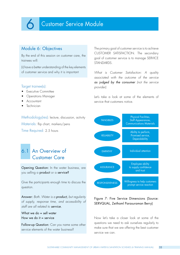

## Module 6: Objectives

By the end of this session on customer care, the trainees will:

(i) have a better understanding of the key elements of customer service and why it is important

#### Target trainee(s):

- Executive Committee
- Operations Manager
- Accountant
- Technician

Methodology(ies): lecture, discussion, activity Materials: flip chart, markers/pens Time Required: 2.5 hours

# 6.1 An Overview of Customer Care

Opening Question: In the water business, are you selling a product or a service?

Give the participants enough time to discuss the question.

Answer: *Both. Water is a product, but regularity of supply, response time, and accessibility of staff are all related to service.*

What we do = sell water How we do it  $=$  service

Follow-up Question: Can you name some other service elements of the water business?

The primary goal of customer service is to achieve CUSTOMER SATISFACTION. The secondary goal of customer service is to manage SERVICE **STANDARDS** 

*What is Customer Satisfaction: A quality associated with the outcome of the service as judged by the consumer (not the service provider).*

Let's take a look at some of the elements of service that customers notice.



#### Figure 7: Five Service Dimensions (Source: SERVQUAL, Zeithaml Parasuraman Berry)

Now let's take a closer look at some of the questions we need to ask ourselves regularly to make sure that we are offering the best customer service we can.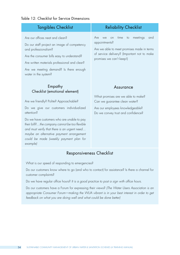### Table 12: Checklist for Service Dimensions

| <b>Tangibles Checklist</b>                                                                                                                                                                                                                                              | <b>Reliability Checklist</b>                                                                                                                                                                                        |
|-------------------------------------------------------------------------------------------------------------------------------------------------------------------------------------------------------------------------------------------------------------------------|---------------------------------------------------------------------------------------------------------------------------------------------------------------------------------------------------------------------|
| Are our offices neat and clean?<br>Do our staff project an image of competency<br>and professionalism?<br>Are the consumer bills easy to understand?<br>Are written materials professional and clear?<br>Are we meeting demand? Is there enough<br>water in the system? | time<br>meetings<br>Are<br>$\overline{\phantom{a}}$ to<br>and<br>we<br>on<br>appointments?<br>Are we able to meet promises made in terms<br>of service delivery? (Important not to make<br>promises we can't keep!) |
| Empathy<br>Checklist (emotional element)                                                                                                                                                                                                                                | Assurance                                                                                                                                                                                                           |
|                                                                                                                                                                                                                                                                         | What promises are we able to make?                                                                                                                                                                                  |
| Are we friendly? Polite? Approachable?                                                                                                                                                                                                                                  | Can we guarantee clean water?                                                                                                                                                                                       |
| Do we give our customers individualized<br>attention?                                                                                                                                                                                                                   | Are our employees knowledgeable?<br>Do we convey trust and confidence?                                                                                                                                              |

# Responsiveness Checklist

What is our speed of responding to emergencies?

Do our customers know where to go (and who to contact) for assistance? Is there a channel for customer complaints?

Do we have regular office hours? *It is a good practice to post a sign with office hours.*

Do our customers have a Forum for expressing their views? *(The Water Users Association is an appropriate Consumer Forum—making the WUA vibrant is in your best interest in order to get feedback on what you are doing well and what could be done better)*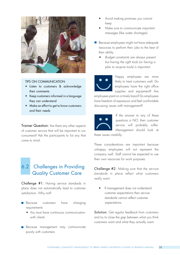

TIPS ON COMMUNICATION

- Listen to customers & acknowledge their comments
- Keep customers informed in a language they can understand
- Make an effort to get to know customers and their needs

Trainer Question: Are there any other aspects of customer service that will be important to our consumers? Ask the participants to list any that come to mind.

# 6.2 Challenges in Providing Quality Customer Care

Challenge #1: Having service standards in place does not automatically lead to customer satisfaction. Why not?

- **Because** customers have changing requirements
	- *You must have continuous communication with clients*
- Because management may communicate poorly with customers
- Avoid making promises you cannot keep
- Make sure to communicate important messages (like water shortages)
- Because employees might not have adequate resources to perform their jobs to the best of their ability.
	- *• Budget constraints are always present but having the right tools (or having a plan to acquire tools) is important.*



Happy employees are more likely to treat customers well. Do employees have the right office supplies and equipment? Are

employees paid on a timely basis? Do employees have freedom of expression and feel comfortable discussing issues with management?



*If the answer to any of these questions is NO*, then customer service will probably suffer. Management should look at

these issues carefully.

These considerations are important because unhappy employees will not represent the company well. Staff cannot be expected to use their own resources for work purposes.

Challenge #2: Making sure that the service standards in place reflect what customers really want.

If management does not understand customer expectations then service standards cannot reflect customer expectations.

Solution: Get regular feedback from customers and try to close the gap between what you think customers want and what they actually want.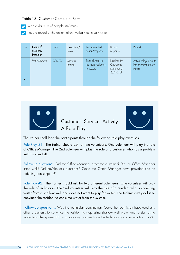### Table 13: Customer Complaint Form

Keep a daily list of complaints/issues

Keep a record of the action taken - verbal/technical/written

| No. | Name of<br>Member/<br>Institution | Date    | Complaint/<br>issue | Recommended<br>action/response                        | Date of<br>response                                 | Remarks                                                 |
|-----|-----------------------------------|---------|---------------------|-------------------------------------------------------|-----------------------------------------------------|---------------------------------------------------------|
|     | Mary Makoye                       | 2/10/07 | Meter is<br>broken  | Send plumber to<br>test meter-replace if<br>necessary | Resolved by<br>Operations<br>Manager on<br>20/10/08 | Action delayed due to<br>late shipment of new<br>meters |
|     |                                   |         |                     |                                                       |                                                     |                                                         |





The trainer shall lead the participants through the following role play exercises.

A Role Play

Role Play #1: The trainer should ask for two volunteers. One volunteer will play the role of Office Manager. The 2nd volunteer will play the role of a customer who has a problem with his/her bill.

Customer Service Activity:

Follow-up questions: Did the Office Manager greet the customer? Did the Office Manager listen well? Did he/she ask questions? Could the Office Manager have provided tips on reducing consumption?

Role Play #2: The trainer should ask for two different volunteers. One volunteer will play the role of technician. The 2nd volunteer will play the role of a resident who is collecting water from a shallow well and does not want to pay for water. The technician's goal is to convince the resident to consume water from the system.

Follow-up questions: Was the technician convincing? Could the technician have used any other arguments to convince the resident to stop using shallow well water and to start using water from the system? Do you have any comments on the technician's communication style?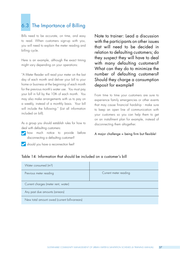# 6.3 The Importance of Billing

Bills need to be accurate, on time, and easy to read. When customers sign-up with you, you will need to explain the meter reading and billing cycle.

Here is an example, although the exact timing might vary depending on your operations:

"A Meter Reader will read your meter on the last day of each month and deliver your bill to your home or business at the beginning of each month for the previous month's water use. You must pay your bill in full by the 10th of each month. You may also make arrangements with us to pay on a weekly, instead of a monthly basis. Your bill will include the following:" (List all information included on bill).

As a group you should establish rules for how to deal with defaulting customers:

- how much notice to provide before disconnecting a defaulting customer?
- should you have a reconnection fee?

Note to trainer: Lead a discussion with the participants on other issues that will need to be decided in relation to defaulting customers; do they suspect they will have to deal with many defaulting customers? What can they do to minimize the number of defaulting customers? Should they charge a consumption deposit for example?

From time to time your customers are sure to experience family emergencies or other events that may cause financial hardship - make sure to keep an open line of communication with your customers so you can help them to get on an installment plan for example, instead of disconnecting them altogether.

#### A major challenge = being firm but flexible!

# Water consumed (m3) Previous meter reading and the current meter reading control of the Current meter reading Current charges (meter rent, water) Any past due amounts (arrears) New total amount owed (current bill+arrears)

Table 14: Information that should be included on a customer's bill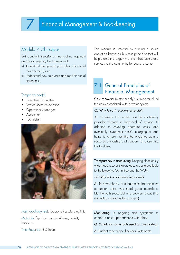## Module 7 Objectives

By the end of this session on financial management and bookkeeping, the trainees will:

- (i) Understand the general principles of financial management; and
- (ii) Understand how to create and read financial statements.

#### Target trainee(s):

- **Executive Committee**
- Water Users Association
- Operations Manager
- **Accountant**
- **Technician**



Methodology(ies): lecture, discussion, activity Materials: flip chart, markers/pens, activity handouts

Time Required: 3.5 hours

This module is essential to running a sound operation based on business principles that will help ensure the longevity of the infrastructure and services to the community for years to come.

# 7.1 General Principles of Financial Management

Cost recovery (water supply): to recover all of the costs associated with a water system.

#### *Q: Why is cost recovery essential?*

*A:* To ensure that water can be continually provided through a high-level of service. In addition to covering operation costs (and eventually investment costs), charging a tariff helps to ensure that the beneficiaries gain a sense of ownership and concern for preserving the facilities.

Transparency in accounting: Keeping clear, easily understood records that are accurate and available to the Executive Committee and the WUA.

#### *Q: Why is transparency important?*

A: To have checks and balances that minimize corruption; also, you need good records to identify both successful and problem areas (like defaulting customers for example).

Monitoring: is ongoing and systematic to compare actual performance with plans.

Q: What are some tools used for monitoring?

A: Budget reports and financial statements.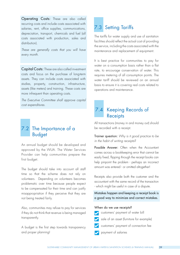Operating Costs: These are also called recurring costs and include costs associated with salaries, rent, office supplies, communications, depreciation, transport, chemicals and fuel (all costs associated with production, sales and distribution).

*These are generally costs that you will have every month.*

Capital Costs: These are also called investment costs and focus on the purchase of long-term assets. They can include costs associated with studies, property, construction, infrastructure, assets (like meters) and training. These costs are more infrequent than operating costs.

*The Executive Committee shall approve capital cost expenditures.*

# 7.2 The Importance of a Budget

An annual budget should be developed and approved by the WUA. The Water Services Provider can help communities prepare the first budget.

The budget should take into account all staff time so that the scheme does not rely on volunteers. Depending on volunteers becomes problematic over time because people expect to be compensated for their time and can justify misappropriation if they perceive that they are not being treated fairly.

Also, communities may refuse to pay for services if they do not think that revenue is being managed transparently.

A budget is the first step towards transparency and proper planning!

# 7.3 Setting Tariffs

The tariffs for water supply and use of sanitation facilities should reflect the actual cost of providing the service, including the costs associated with the maintenance and replacement of equipment.

It is best practice for communities to pay for water on a consumption basis rather than a flat rate, to encourage conservation of water. This requires metering of all consumption points. The water tariff should be reviewed on an annual basis to ensure it is covering real costs related to operations and maintenance.

# 7.4 Keeping Records of Receipts

All transactions (money in and money out) should be recorded with a receipt.

Trainer question: *Why is it good practice to be in the habit of writing receipts?*

Possible Answer: Often when the Accountant comes across a bookkeeping error that cannot be easily fixed, flipping through the receipt books can help pinpoint the problem - perhaps an incorrect amount was entered - or omitted altogether!

Receipts also provide both the customer and the accountant with the same record of the transaction - which might be useful in case of a dispute.

Mistakes happen and keeping a receipt book is a good way to minimize and correct mistakes.

#### When do we use receipts?

customers' payment of water bill



customers' payment of connection fee

payment of salaries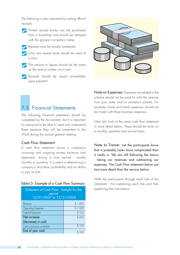The following is also important for writing official receipts:

- Printed receipt books can be purchased from a bookshop and should be stamped with the group's/company's name;
- Receipts must be serially numbered;
	- Only one receipt book should be used at a time;
- The amount in figures should be the same as the amount written out in text;
- Receipts should be issued immediately upon payment.



Note on Expenses: Expenses not related to the scheme should not be paid for with the revenue from your water and/or sanitation scheme. For example, home and family expenses should not be mixed with these business expenses.

# 7.5 Financial Statements

The following financial statements should be completed by the Accountant, but it is important for everyone to be able to read and understand these because they will be presented to the WUA during the annual general meeting.

### Cash Flow Statement

A cash flow statement shows a company's incoming and outgoing money (revenue and expenses), during a time period - usually monthly or quarterly. It is useful in determining a company's short-term profitability and its ability to pay its bills.

#### Table15: Example of a Cash Flow Summary

| Statement of Cash Flow - Sample for the<br>period<br>12/31/2007 to 12/31/2008 |            |  |  |  |  |  |
|-------------------------------------------------------------------------------|------------|--|--|--|--|--|
| Revenue                                                                       | \$1,800    |  |  |  |  |  |
| <b>Operating Expenses</b>                                                     | $-1,000$   |  |  |  |  |  |
| <b>Capital Expenses</b>                                                       | $-$ \$ 350 |  |  |  |  |  |
| Net increase                                                                  | \$450      |  |  |  |  |  |
| (decrease) in cash                                                            |            |  |  |  |  |  |
| \$100<br>Cash previously available                                            |            |  |  |  |  |  |
| End of year cash                                                              | \$550      |  |  |  |  |  |

Now let's look at the same cash flow statement in more detail below. These should be done on a monthly, quarterly and annual basis.

Note to Trainer: Let the participants know that it probably looks more complicated than it really is. We are still following the basics - taking our revenues and subtracting our expenses. The Cash Flow statement below just has more detail than the version below.

Walk the participants through each line of the Statement - first explaining each line and then explaining the calculations.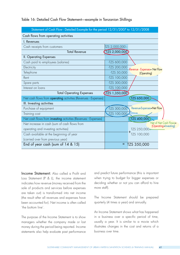#### Table 16: Detailed Cash Flow Statement—example in Tanzanian Shillings

| Statement of Cash Flow - Detailed Example for the period 12/31/2007 to 12/31/2008 |                  |                                                 |  |  |  |  |  |
|-----------------------------------------------------------------------------------|------------------|-------------------------------------------------|--|--|--|--|--|
| Cash flows from operating activities                                              |                  |                                                 |  |  |  |  |  |
| I. Revenues                                                                       |                  |                                                 |  |  |  |  |  |
| Cash receipts from customers                                                      | TZS 2,000,000 -  |                                                 |  |  |  |  |  |
| <b>Total Revenue</b>                                                              | TZS 2,000,000    |                                                 |  |  |  |  |  |
| II. Operating Expenses                                                            |                  |                                                 |  |  |  |  |  |
| Cash paid to employees (salaries)                                                 | -TZS 600,000     |                                                 |  |  |  |  |  |
| Electricity                                                                       | -TZS 200,000     | Revenue - Expenses= Net Flow                    |  |  |  |  |  |
| Telephone                                                                         | -TZS 50,000      | (Operating)                                     |  |  |  |  |  |
| Rent                                                                              | -TZS 100,000     |                                                 |  |  |  |  |  |
| Spare parts                                                                       | -TZS 300,000     |                                                 |  |  |  |  |  |
| Interest on loans                                                                 | -TZS 100,000     |                                                 |  |  |  |  |  |
| <b>Total Operating Expenses</b>                                                   | $-TZS$ 1,350,000 |                                                 |  |  |  |  |  |
| Net cash flows from operating activities (Revenues - Expenses)                    |                  | TZS 650,000                                     |  |  |  |  |  |
| III. Investing activities                                                         |                  |                                                 |  |  |  |  |  |
| Purchase of equipment                                                             | -TZS 300,000     | Revenue-Expenses=Net Flow                       |  |  |  |  |  |
| Training cost                                                                     | -TZS 100,000     |                                                 |  |  |  |  |  |
| Net cash flows from investing activities (Revenues - Expenses)                    |                  | -TZS 400,000                                    |  |  |  |  |  |
| Net increase in cash (sum of cash flows from                                      |                  | Net of Net Cash Flows=<br>(Operating+Investing) |  |  |  |  |  |
| operating and investing activities)                                               |                  | TZS 250,000+                                    |  |  |  |  |  |
| Cash available at the beginning of year                                           |                  | TZS 100,000                                     |  |  |  |  |  |
| (carried over from previous year)                                                 |                  |                                                 |  |  |  |  |  |
| End of year cash (sum of 14 & 15)                                                 | Ξ                | TZS 350,000                                     |  |  |  |  |  |

Income Statement: Also called a Profit and Loss Statement (P & L), the income statement indicates how revenue (money received from the sale of products and services before expenses are taken out) is transformed into net income (the result after all revenues and expenses have been accounted for). Net income is often called 'the bottom line'.

The purpose of the Income Statement is to show managers whether the company made or lost money during the period being reported. Income statements also help evaluate past performance

and predict future performance (this is important when trying to budget for bigger expenses or deciding whether or not you can afford to hire more staff).

The Income Statement should be prepared quarterly (4 times a year) and annually.

An Income Statement shows what has happened in a business over a specific period of time, usually a year. It is similar to a movie which illustrates changes in the cost and returns of a business over time.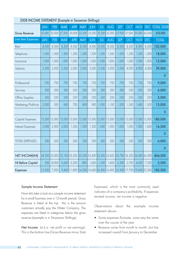|                       | <b>JAN</b> | <b>FEB</b>    | <b>MAR</b> | <b>APR</b>                                                                          | <b>MAY</b> | <b>JUN</b> | JUL        | <b>AUG</b>                                              | <b>SEP</b> | <b>OCT</b> | <b>NOV</b> | <b>DEC</b>    | <b>FOTAL 2008</b> |
|-----------------------|------------|---------------|------------|-------------------------------------------------------------------------------------|------------|------------|------------|---------------------------------------------------------|------------|------------|------------|---------------|-------------------|
| Gross Revenue         | 35,000     | 25,000 27,500 |            | 30,000                                                                              | 32,500     | 35,000     |            | 35,000 35,000                                           | 37,000     | 37,000     |            | 39,000 42,000 | 410,000           |
| Line Item Expenses    | <b>JAN</b> | <b>FEB</b>    | <b>MAR</b> | <b>APR</b>                                                                          | <b>MAY</b> | <b>JUN</b> | <b>JUL</b> | <b>AUG</b>                                              | <b>SEP</b> | <b>OCT</b> | <b>NOV</b> | <b>DEC</b>    | <b>TOTAL</b>      |
| Rent                  | 8,500      | 8,500         | 8,500      | 8,500                                                                               | 8,500      | 8,500      | 8,500      | 8,500                                                   | 8,500      | 8,500      | 8,500      | 8,500         | 102,000           |
| Telephone             | 1,500      | 1,500         | 1,500      | 1,500                                                                               | 1,500      | 1,500      | 1,500      | 1,500                                                   | 1,500      | 1,500      | 1,500      | 1,500         | 18,000            |
| Insurance             | 1,000      | 1,000         | 1,000      | 1,000                                                                               | 1,000      | 1,000      | 1,000      | 1,000                                                   | 1,000      | 1,000      | 1,000      | 1,000         | 12,000            |
| Salaries              | 2,500      | 2,500         | 2,500      | 3,000                                                                               | 3,000      | 3,000      | 3,500      | 3,500                                                   | 3,500      | 4,000      | 4,000      | 4,000         | 39,000            |
|                       |            |               |            |                                                                                     |            |            |            |                                                         |            |            |            |               | $\overline{0}$    |
| Professional          | 750        | 750           | 750        | 750                                                                                 | 750        | 750        | 750        | 750                                                     | 750        | 750        | 750        | 750           | 9,000             |
| Services              | 500        | 500           | 500        | 500                                                                                 | 500        | 500        | 500        | 500                                                     | 500        | 500        | 500        | 500           | 6,000             |
| Office Supplies       | 250        | 250           | 250        | 250                                                                                 | 250        | 250        | 250        | 250                                                     | 250        | 250        | 250        | 250           | 3,000             |
| Marketing/Publicity   | 2,000      | 500           | 600        | 700                                                                                 | 800        | 900        | 1,000      | 1,100                                                   | 1,200      | 1,300      | 1,400      | 1,500         | 13,000            |
|                       |            |               |            |                                                                                     |            |            |            |                                                         |            |            |            |               | $\overline{0}$    |
| Capital Expenses      |            | 15,000 15,000 |            | 15,000 15,000                                                                       |            |            |            | 15,000 15,000 15,000 15,000 15,000 15,000 15,000 15,000 |            |            |            |               | 180,000           |
| Interest Expenses     | 2,000      | 2,000         | 2,000      | 1,500                                                                               | 1,500      | 1,500      | 1,000      | 1,000                                                   | 1,000      | 1,000      | 1,000      | 1,000         | 16,500            |
|                       |            |               |            |                                                                                     |            |            |            |                                                         |            |            |            |               | $\overline{0}$    |
| <b>TOTAL EXPENSES</b> | 500        | 500           | 500        | 500                                                                                 | 500        | 500        | 500        | 500                                                     | 500        | 500        | 500        | 500           | 6,000             |
|                       |            |               |            |                                                                                     |            |            |            |                                                         |            |            |            |               | $\overline{0}$    |
| <b>NET INCOME(NI)</b> |            |               |            | 34,500 33,000 33,100 33,200 33,300 33,400 33,500 33,600 33,700 34,300 34,400 34,500 |            |            |            |                                                         |            |            |            |               | 404,500           |
| NI Before Capital     | 500        | $-8,000$      | $-5,600$   | $-3,200$                                                                            | $-800$     | 1,600      | 1,500      | 1,400                                                   | 3,300      | 2,700      | 4,600      | 7,500         | 5,500             |
| Expenses              | 15,500     | 7,000         |            | 9,400 11,800 14,200 16,600 16,500 16,400 18,300 17,700 19,600 22,500                |            |            |            |                                                         |            |            |            |               | 185,500           |

## 2008 INCOME STATEMENT (Example in Tanzanian Shillings)

#### Sample Income Statement

Now let's take a look at a sample income statement for a small business over a 12-month period. Gross Revenue is listed at the top - this is the amount customers actually pay the Water Company. The expenses are listed in categories below the gross revenue (example is in Tanzanian Shillings).

Net Income (a.k.a. net profit or net earnings): This is the bottom line (Gross Revenue minus Total Expenses), which is the most commonly used indicator of a company's profitability. If expenses exceed income, net income is negative.

Observations about the example income statement above:

- Some expenses fluctuate, some stay the same over the course of the year
- Revenue varies from month to month, but has increased overall from January to December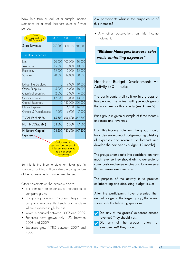Now let's take a look at a sample income statement for a small business over a 3-year period.

| Gross<br>Revenue must cover<br><b>ALL Expenses!</b> | 2007    | 2008    | 2009        |  |  |  |
|-----------------------------------------------------|---------|---------|-------------|--|--|--|
| <b>Gross Revenue</b>                                | 250,000 | 410,000 | 500,000     |  |  |  |
| Line Item Expenses                                  |         |         |             |  |  |  |
| Rent                                                | 90,000  | 102,000 | 10,000<br>1 |  |  |  |
| Telephone                                           | 15,000  | 18,000  | 18,000      |  |  |  |
| Electriicity                                        | 12,000  | 12,000  | 12,000      |  |  |  |
| Salaries                                            | 20,000  | 39,000  | 50,000      |  |  |  |
|                                                     |         |         |             |  |  |  |
| <b>Exhausting Services</b>                          | 0       | 9,000   | 10,000      |  |  |  |
| Office Supplies                                     | 5,000   | 6,000   | 10,000      |  |  |  |
| Chemical Supplies                                   | 2,500   | 3,000   | 6,000       |  |  |  |
| Communication                                       | 42,000  | 13,000  | 13,000      |  |  |  |
| Capital Expenses                                    | 0       | 180,000 | 200,000     |  |  |  |
| Interest Expenses                                   | 0       | 16,500  | 16,500      |  |  |  |
| General & Miscellaneous                             | 1,000   | 6,000   | 7,000       |  |  |  |
| <b>TOTAL EXPENSES</b>                               | 145,500 | 404,500 | 452,500     |  |  |  |
| NET INCOME (NI)                                     | 104,500 | 5,500   | 47,500      |  |  |  |
| NI Before Capital                                   | 104,500 | 185,500 | 247,500     |  |  |  |
| Expense                                             |         |         |             |  |  |  |
| <b>Calculated to</b>                                |         |         |             |  |  |  |

get an idea of profit if large investments had not been necessary

So this is the income statement (example in Tanzanian Shillings). It provides a moving picture of the business performance over the years.

Other comments on the example above:

- It is common for expenses to increase as a company grows
- Comparing annual incomes helps the company evaluate its trends and analyze where expenses might be cut
- Revenue doubled between 2007 and 2009
- Expenses have grown only 12% between 2008 and 2009
- Expenses grew 178% between 2007 and 2008!

### Ask participants what is the major cause of this increase?

• Any other observations on this income statement?

# *"Efficient Managers increase sales while controlling expenses"*

## Hands-on Budget Development: An Activity (30 minutes)

The participants shall split up into groups of five people. The trainer will give each group the worksheet for this activity (see Annex 2).

Each group is given a sample of three month's expenses and revenues.

From this income statement, the group should try to devise an annual budget—using a history of expenses and revenues to forecast and develop the next year's budget (12 months).

The groups should take into consideration how much revenue they should aim to generate to cover costs and emergencies and to make sure that expenses are minimized.

The purpose of the activity is to practice collaborating and discussing budget issues.

After the participants have presented their annual budget to the larger group, the trainer should ask the following questions:

Did any of the groups' expenses exceed revenue? They should not…

Did any of the groups' allow for  $\blacktriangleright$ emergencies? They should…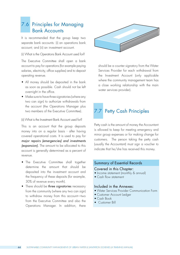# 7.6 Principles for Managing Bank Accounts

It is recommended that the group keep two separate bank accounts: (i) an operations bank account; and (ii) an investment account.

(i) What is the Operations Bank Account used for?

The Executive Committee shall open a bank account to pay for operations (for example paying salaries, electricity, office supplies) and to deposit operating revenue.

- All money should be deposited in the bank as soon as possible. Cash should not be left overnight in the office.
- Make sure to have three signatories (where any two can sign) to authorize withdrawals from the account (the Operations Manager plus two members of the Executive Committee).

#### (ii) What is the Investment Bank Account used for?

This is an account that the group deposits money into on a regular basis - after having covered operational costs. It is used to pay for *major repairs (emergencies) and investments (expansion).* The amount to be allocated to this account is generally determined as a percent of revenue.

- The Executive Committee shall together determine the amount that should be deposited into the investment account and the frequency of these deposits (for example, 30% of revenue every month).
- There should be three signatories necessary from the community (where any two can sign) to withdraw money from this account—two from the Executive Committee and also the Operations Manager. In addition, there



should be a counter signatory from the Water Services Provider for each withdrawal from the Investment Account (only applicable where the community management team has a close working relationship with the main water services provider).

# 7.7 Petty Cash Principles

Petty cash is the amount of money the Accountant is allowed to keep for meeting emergency and minor group expenses or for making change for customers. The person taking the petty cash (usually the Accountant) must sign a voucher to indicate that he/she has received this money.

## Summary of Essential Records

#### Covered in this Chapter:

- Income statement (monthly & annual)
- Cash flow statement

#### Included in the Annexes:

- Water Services Provider Communication Form
- Customer Account Ledger
- Cash Book
- Customer Bill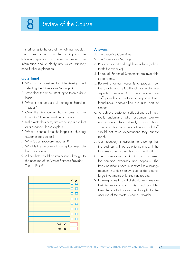This brings us to the end of the training modules. The Trainer should ask the participants the following questions in order to review the information and to clarify any issues that may need further explanation.

Review of the Course

#### Quiz Time!

- 1. Who is responsible for interviewing and selecting the Operations Manager?
- 2. Who does the Accountant report to on a daily basis?
- 3. What is the purpose of having a Board of Trustees?
- 4. Only the Accountant has access to the Financial Statements—True or False?
- 5. In the water business, are we selling a product or a service? Please explain.
- 6. What are some of the challenges in achieving customer satisfaction?
- 7. Why is cost recovery important?
- 8. What is the purpose of having two separate bank accounts?
- 9. All conflicts should be immediately brought to the attention of the Water Services Provider— True or False?



#### Answers

- 1. The Executive Committee
- 2. The Operations Manager
- 3. Political support and high level advice (policy, tariffs for example)
- 4. False, all Financial Statements are available upon request
- 5. Both—the actual water is a product; but the quality and reliability of that water are aspects of service. Also, the customer care staff provides to customers (response time, friendliness, accessibility) are also part of service.
- 6. To achieve customer satisfaction, staff must really understand what customers want not assume they already know. Also, communication must be continuous and staff should not raise expectations they cannot reach.
- 7. Cost recovery is essential to ensuring that the business will be able to continue. If the business cannot cover its costs, it will fail.
- 8. The Operations Bank Account is used for common expenses and deposits. The Investment Bank Account is more like a savings account in which money is set aside to cover large investments only, such as repairs.
- 9. False—parties in conflict should try to resolve their issues amicably. If this is not possible, then the conflict should be brought to the attention of the Water Services Provider.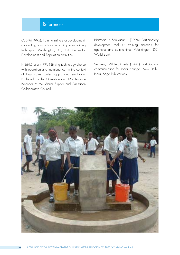# References

CEDPA (1995). Training trainers for development: conducting a workshop on participatory training techniques. Washington, DC, USA, Centre for Development and Population Activities.

F. Brikké et al (1997) Linking technology choice with operation and maintenance, in the context of low-income water supply and sanitation. Published by the Operation and Maintenance Network of the Water Supply and Sanitation Collaborative Council.

Narayan D, Srinivasan L. (1994). Participatory development tool kit: training materials for agencies and communities. Washington, DC, World Bank.

Servaes J, White SA. eds. (1996). Participatory communication for social change. New Delhi, India, Sage Publications.

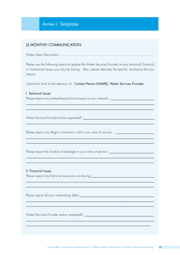# Annex i: Templates

### (i) MONTHLY COMMUNICATION

Water Users Association …………........………………………………..................................

Please use the following space to update the Water Services Provider on any technical, financial or institutional issues you may be facing. Also, please describe the specific assistance that you require.

\_\_\_\_\_\_\_\_\_\_\_\_\_\_\_\_\_\_\_\_\_\_\_\_\_\_\_\_\_\_\_\_\_\_\_\_\_\_\_\_\_\_\_\_\_\_\_\_\_\_\_\_\_\_\_\_\_\_\_\_\_\_\_\_\_\_\_\_\_\_\_\_\_\_\_\_\_\_\_

\_\_\_\_\_\_\_\_\_\_\_\_\_\_\_\_\_\_\_\_\_\_\_\_\_\_\_\_\_\_\_\_\_\_\_\_\_\_\_\_\_\_\_\_\_\_\_\_\_\_\_\_\_\_\_\_\_\_\_\_\_\_\_\_\_\_\_\_\_\_\_\_\_\_\_\_\_\_\_

\_\_\_\_\_\_\_\_\_\_\_\_\_\_\_\_\_\_\_\_\_\_\_\_\_\_\_\_\_\_\_\_\_\_\_\_\_\_\_\_\_\_\_\_\_\_\_\_\_\_\_\_\_\_\_\_\_\_\_\_\_\_\_\_\_\_\_\_\_\_\_\_\_\_\_\_\_\_\_

\_\_\_\_\_\_\_\_\_\_\_\_\_\_\_\_\_\_\_\_\_\_\_\_\_\_\_\_\_\_\_\_\_\_\_\_\_\_\_\_\_\_\_\_\_\_\_\_\_\_\_\_\_\_\_\_\_\_\_\_\_\_\_\_\_\_\_\_\_\_\_\_\_\_\_\_\_\_\_

\_\_\_\_\_\_\_\_\_\_\_\_\_\_\_\_\_\_\_\_\_\_\_\_\_\_\_\_\_\_\_\_\_\_\_\_\_\_\_\_\_\_\_\_\_\_\_\_\_\_\_\_\_\_\_\_\_\_\_\_\_\_\_\_\_\_\_\_\_\_\_\_\_\_\_\_\_\_\_

\_\_\_\_\_\_\_\_\_\_\_\_\_\_\_\_\_\_\_\_\_\_\_\_\_\_\_\_\_\_\_\_\_\_\_\_\_\_\_\_\_\_\_\_\_\_\_\_\_\_\_\_\_\_\_\_\_\_\_\_\_\_\_\_\_\_\_\_\_\_\_\_\_\_\_\_\_\_\_ \_\_\_\_\_\_\_\_\_\_\_\_\_\_\_\_\_\_\_\_\_\_\_\_\_\_\_\_\_\_\_\_\_\_\_\_\_\_\_\_\_\_\_\_\_\_\_\_\_\_\_\_\_\_\_\_\_\_\_\_\_\_\_\_\_\_\_\_\_\_\_\_\_\_\_\_\_\_\_

\_\_\_\_\_\_\_\_\_\_\_\_\_\_\_\_\_\_\_\_\_\_\_\_\_\_\_\_\_\_\_\_\_\_\_\_\_\_\_\_\_\_\_\_\_\_\_\_\_\_\_\_\_\_\_\_\_\_\_\_\_\_\_\_\_\_\_\_\_\_\_\_\_\_\_\_\_\_\_ \_\_\_\_\_\_\_\_\_\_\_\_\_\_\_\_\_\_\_\_\_\_\_\_\_\_\_\_\_\_\_\_\_\_\_\_\_\_\_\_\_\_\_\_\_\_\_\_\_\_\_\_\_\_\_\_\_\_\_\_\_\_\_\_\_\_\_\_\_\_\_\_\_\_\_\_\_\_\_

\_\_\_\_\_\_\_\_\_\_\_\_\_\_\_\_\_\_\_\_\_\_\_\_\_\_\_\_\_\_\_\_\_\_\_\_\_\_\_\_\_\_\_\_\_\_\_\_\_\_\_\_\_\_\_\_\_\_\_\_\_\_\_\_\_\_\_\_\_\_\_\_\_\_\_\_\_\_\_ \_\_\_\_\_\_\_\_\_\_\_\_\_\_\_\_\_\_\_\_\_\_\_\_\_\_\_\_\_\_\_\_\_\_\_\_\_\_\_\_\_\_\_\_\_\_\_\_\_\_\_\_\_\_\_\_\_\_\_\_\_\_\_\_\_\_\_\_\_\_\_\_\_\_\_\_\_\_\_

\_\_\_\_\_\_\_\_\_\_\_\_\_\_\_\_\_\_\_\_\_\_\_\_\_\_\_\_\_\_\_\_\_\_\_\_\_\_\_\_\_\_\_\_\_\_\_\_\_\_\_\_\_\_\_\_\_\_\_\_\_\_\_\_\_\_\_\_\_\_\_\_\_\_\_\_\_\_\_ \_\_\_\_\_\_\_\_\_\_\_\_\_\_\_\_\_\_\_\_\_\_\_\_\_\_\_\_\_\_\_\_\_\_\_\_\_\_\_\_\_\_\_\_\_\_\_\_\_\_\_\_\_\_\_\_\_\_\_\_\_\_\_\_\_\_\_\_\_\_\_\_\_\_\_\_\_

Submit this form to the attention of: Contact Person (NAME), Water Services Provider

#### I. Technical Issues

Please report any outstanding technical issues on your network: \_\_\_\_\_\_\_\_\_\_\_\_\_\_\_\_\_

Water Services Provider action requested? \_\_\_\_\_\_\_\_\_\_\_\_\_\_\_\_\_\_\_\_\_\_\_\_\_\_\_\_\_\_\_\_\_\_\_\_\_\_\_\_\_\_\_\_

Please report any illegal connections within your area of service: \_\_\_\_\_\_\_\_\_\_\_\_\_\_\_\_\_\_\_\_\_\_\_\_

Please report the location of leakages in your area of service:

#### II. Financial Issues

Please report any financial issues you are facing:\_\_\_\_\_\_\_\_\_\_\_\_\_\_\_\_\_\_\_\_\_\_\_\_\_\_\_\_\_\_\_\_\_\_\_\_\_\_\_

Please report all your outstanding debts:

Water Services Provider action requested? \_\_\_\_\_\_\_\_\_\_\_\_\_\_\_\_\_\_\_\_\_\_\_\_\_\_\_\_\_\_\_\_\_\_\_\_\_\_\_\_\_\_\_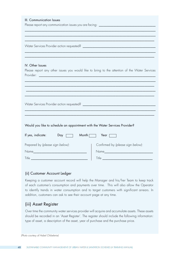| III. Communication Issues                                                                                         |                                   |
|-------------------------------------------------------------------------------------------------------------------|-----------------------------------|
|                                                                                                                   |                                   |
|                                                                                                                   |                                   |
| IV. Other Issues<br>Please report any other issues you would like to bring to the attention of the Water Services |                                   |
|                                                                                                                   |                                   |
|                                                                                                                   |                                   |
| Would you like to schedule an appointment with the Water Services Provider?                                       |                                   |
| If yes, indicate:<br>Month $\Box$<br>$\Box$ Day                                                                   | Year $\Gamma$                     |
| Prepared by (please sign below):                                                                                  | Confirmed by (please sign below): |
|                                                                                                                   |                                   |

### (ii) Customer Account Ledger

Keeping a customer account record will help the Manager and his/her Team to keep track of each customer's consumption and payments over time. This will also allow the Operator to identify trends in water consumption and to target customers with significant arrears. In addition, customers can ask to see their account page at any time.

## (iii) Asset Register

Over time the community water services provider will acquire and accumulate assets. These assets should be recorded in an 'Asset Register'. The register should include the following information: type of asset, a description of the asset, year of purchase and the purchase price.

*(Photo courtesy of Habel Chibelenie)*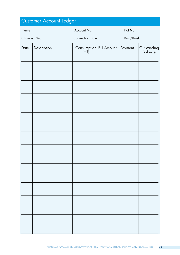|      | <b>Customer Account Ledger</b>                                                                 |                                                                                            |  |         |                               |  |  |  |
|------|------------------------------------------------------------------------------------------------|--------------------------------------------------------------------------------------------|--|---------|-------------------------------|--|--|--|
|      |                                                                                                |                                                                                            |  |         |                               |  |  |  |
|      | Chamber No._________________________Connection Date____________________Dom/Kiosk______________ |                                                                                            |  |         |                               |  |  |  |
| Date | Description                                                                                    | Consumption $\left  \begin{array}{c} \text{Bill Amount} \\ \text{m}^3 \end{array} \right $ |  | Payment | Outstanding<br><b>Balance</b> |  |  |  |
|      |                                                                                                |                                                                                            |  |         |                               |  |  |  |
|      |                                                                                                |                                                                                            |  |         |                               |  |  |  |
|      |                                                                                                |                                                                                            |  |         |                               |  |  |  |
|      | the control of the control of the control of the control of the control of                     |                                                                                            |  |         |                               |  |  |  |
|      |                                                                                                |                                                                                            |  |         |                               |  |  |  |
|      |                                                                                                |                                                                                            |  |         |                               |  |  |  |
|      |                                                                                                |                                                                                            |  |         |                               |  |  |  |
|      |                                                                                                |                                                                                            |  |         |                               |  |  |  |
|      |                                                                                                |                                                                                            |  |         |                               |  |  |  |
|      |                                                                                                |                                                                                            |  |         |                               |  |  |  |
|      |                                                                                                |                                                                                            |  |         |                               |  |  |  |
|      |                                                                                                |                                                                                            |  |         |                               |  |  |  |
|      |                                                                                                |                                                                                            |  |         |                               |  |  |  |
|      |                                                                                                |                                                                                            |  |         |                               |  |  |  |
|      |                                                                                                |                                                                                            |  |         |                               |  |  |  |
|      |                                                                                                |                                                                                            |  |         |                               |  |  |  |
|      |                                                                                                |                                                                                            |  |         |                               |  |  |  |
|      |                                                                                                |                                                                                            |  |         |                               |  |  |  |
|      |                                                                                                |                                                                                            |  |         |                               |  |  |  |
|      |                                                                                                |                                                                                            |  |         |                               |  |  |  |
|      |                                                                                                |                                                                                            |  |         |                               |  |  |  |
|      |                                                                                                |                                                                                            |  |         |                               |  |  |  |
|      |                                                                                                |                                                                                            |  |         |                               |  |  |  |
|      |                                                                                                |                                                                                            |  |         |                               |  |  |  |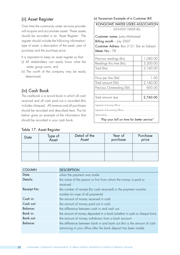# (ii) Asset Register

Over time the community water services provider will acquire and accumulate assets. These assets should be recorded in an 'Asset Register'. The register should include the following information: type of asset, a description of the asset, year of purchase and the purchase price.

It is important to keep an asset register so that:

- (i) All stakeholders can easily know what the water group owns; and
- (ii) The worth of the company may be easily determined.

# (iv) Cash Book

The cashbook is a record book in which all cash received and all cash paid out is recorded (this includes cheques). All revenue and all purchases should be recorded and described here. The list below gives an example of the information that should be recorded in your cash book.

### Table 17: Asset Register

### (v) Tanzanian Example of a Customer Bill

| <b>KONGOWE WATER USERS ASSOCIATION</b>                                                                                 |  |          |  |  |  |
|------------------------------------------------------------------------------------------------------------------------|--|----------|--|--|--|
| <b>MONTHLY WATER BILL</b>                                                                                              |  |          |  |  |  |
| Customer name: Juma Mohamed<br>Billing month $-$ July 2007<br>Customer Adress: Box 2121 Dar es Salaam<br>Meter No.: 78 |  |          |  |  |  |
| Previous readings (Itrs)                                                                                               |  | 1,040.00 |  |  |  |
| Readings this time (Itrs)                                                                                              |  | 3,200.00 |  |  |  |
| Total (Itrs)                                                                                                           |  | 2,160.00 |  |  |  |
|                                                                                                                        |  |          |  |  |  |
| Price per litre (Tsh)                                                                                                  |  | 1.00     |  |  |  |
| Total amount (Tsh)                                                                                                     |  | 2,160.00 |  |  |  |
| Previous Outstanding (Tsh)                                                                                             |  | 600.00   |  |  |  |
|                                                                                                                        |  |          |  |  |  |
| Total amount due<br>2,760.00                                                                                           |  |          |  |  |  |
|                                                                                                                        |  |          |  |  |  |
|                                                                                                                        |  |          |  |  |  |
| Approved by                                                                                                            |  |          |  |  |  |
| "Pay your bill on time for better service"                                                                             |  |          |  |  |  |

| Date | Type of<br>Asset | Detail of the<br>Asset | Year of<br>purchase | Purchase<br>price |
|------|------------------|------------------------|---------------------|-------------------|
|      |                  |                        |                     |                   |
|      |                  |                        |                     |                   |

| <b>COLUMN</b> | <b>DESCRIPTION</b>                                                       |  |  |  |  |
|---------------|--------------------------------------------------------------------------|--|--|--|--|
| Date:         | when the payment was made                                                |  |  |  |  |
| Details:      | the name of the person or firm from whom the money is paid or            |  |  |  |  |
|               | received                                                                 |  |  |  |  |
| Receipt No:   | the number of receipt (for cash received) or the payment voucher         |  |  |  |  |
|               | number (in case of all payments)                                         |  |  |  |  |
| Cash in:      | the amount of money received in cash                                     |  |  |  |  |
| Cash out:     | the amount of money paid out in cash                                     |  |  |  |  |
| Balance:      | the difference between cash in and cash out                              |  |  |  |  |
| Bank in:      | the amount of money deposited in a bank (whether in cash or cheque form) |  |  |  |  |
| Bank out:     | the amount of money withdrawn from a bank account                        |  |  |  |  |
| Balance:      | the difference between bank in and bank out (this is the amount of cash  |  |  |  |  |
|               | remaining in your office after the bank deposit has been made)           |  |  |  |  |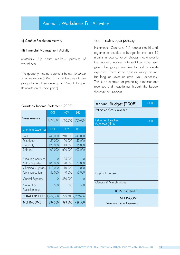#### (i) Conflict Resolution Activity

#### (ii) Financial Management Activity

Materials: Flip chart, markers, printouts of worksheets

The quarterly income statement below *(example is in Tanzanian Shillings)* should be given to the groups to help them develop a 12-month budget (template on the next page).

#### Quarterly Income Statement (2007)

|                          | <b>OCT</b>       | <b>NOV</b> | <b>DEC</b> |
|--------------------------|------------------|------------|------------|
| Gross revenue            | 1,500,000        | 1,400,000  | 1,700,000  |
| Line item Expenses       | <b>OCT</b>       | <b>NOV</b> | <b>DEC</b> |
| Rent                     | 240,000          | 240,000    | 240,000    |
| Telephone                | 50,000           | 50,000     | 50,000     |
| Electricity              | 120,000          | 118,000    | 125,000    |
| Salaries                 | 600,000          | 600,000    | 600,000    |
|                          |                  |            |            |
| Exhaustig Services       | 0                | 135,000    | $\bigcap$  |
| Office Supplies          | 100,000          | 20,000     | 70,000     |
| <b>Chemical Supplies</b> | 110,000          | 110,000    | 110,000    |
| Communication            | 42,000           | 40,000     | 50,000     |
| Capital Expenses         | $\left( \right)$ | 480,000    |            |
| General &                | 500              | 500        | 500        |
| Miscellaneous            |                  |            |            |
| <b>TOTAL EXPENSES</b>    | 1,262,500        | 1,793,500  | 1,270,000  |
| <b>NET INCOME</b>        | 237,500          | $-393,500$ | 429,500    |

#### 2008 Draft Budget (Activity)

Instructions: Groups of 5-6 people should work together to develop a budget for the next 12 months in local currency. Groups should refer to the quarterly income statement they have been given, but groups are free to add or delete expenses. There is no right or wrong answer (as long as revenues cover your expenses)! This is an exercise for projecting expenses and revenues and negotiating through the budget development process.

| Annual Budget (2008)                             | 2008 |
|--------------------------------------------------|------|
| <b>Estimated Gross Revenue</b>                   |      |
|                                                  |      |
| <b>Estimated Line Item</b><br>Expenses (fill in) | 2008 |
|                                                  |      |
|                                                  |      |
|                                                  |      |
|                                                  |      |
|                                                  |      |
|                                                  |      |
|                                                  |      |
|                                                  |      |
|                                                  |      |
| Capital Expenses                                 |      |
| General & Miscellaneous                          |      |
|                                                  |      |
| <b>TOTAL EXPENSES</b>                            |      |
| <b>NET INCOME</b>                                |      |
| (Revenue minus Expenses)                         |      |